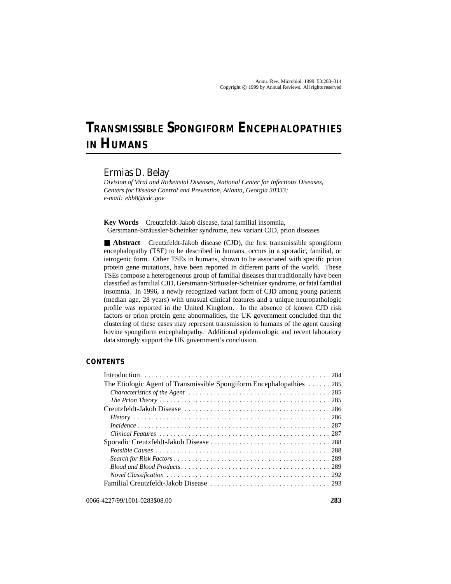# **TRANSMISSIBLE SPONGIFORM ENCEPHALOPATHIES IN HUMANS**

# Ermias D. Belay

#### **CONTENTS**

| TINDIMIDDIDLE DI UNUIFURNI LINCEI HALUI ATTHED<br>Humans                                                                                                                                                                                                                                                                                                                                                                                                                                                                                                                                                                                                                                                                                                                                                                                                                                                                                                                                                                                                                                                        |
|-----------------------------------------------------------------------------------------------------------------------------------------------------------------------------------------------------------------------------------------------------------------------------------------------------------------------------------------------------------------------------------------------------------------------------------------------------------------------------------------------------------------------------------------------------------------------------------------------------------------------------------------------------------------------------------------------------------------------------------------------------------------------------------------------------------------------------------------------------------------------------------------------------------------------------------------------------------------------------------------------------------------------------------------------------------------------------------------------------------------|
| Ermias D. Belay<br>Division of Viral and Rickettsial Diseases, National Center for Infectious Diseases,<br>Centers for Disease Control and Prevention, Atlanta, Georgia 30333;<br>e-mail: ebb8@cdc.gov                                                                                                                                                                                                                                                                                                                                                                                                                                                                                                                                                                                                                                                                                                                                                                                                                                                                                                          |
| Key Words Creutzfeldt-Jakob disease, fatal familial insomnia,<br>Gerstmann-Sträussler-Scheinker syndrome, new variant CJD, prion diseases                                                                                                                                                                                                                                                                                                                                                                                                                                                                                                                                                                                                                                                                                                                                                                                                                                                                                                                                                                       |
| Abstract Creutzfeldt-Jakob disease (CJD), the first transmissible spongiform<br>encephalopathy (TSE) to be described in humans, occurs in a sporadic, familial, or<br>iatrogenic form. Other TSEs in humans, shown to be associated with specific prion<br>protein gene mutations, have been reported in different parts of the world. These<br>TSEs compose a heterogeneous group of familial diseases that traditionally have been<br>classified as familial CJD, Gerstmann-Sträussler-Scheinker syndrome, or fatal familial<br>insomnia. In 1996, a newly recognized variant form of CJD among young patients<br>(median age, 28 years) with unusual clinical features and a unique neuropathologic<br>profile was reported in the United Kingdom. In the absence of known CJD risk<br>factors or prion protein gene abnormalities, the UK government concluded that the<br>clustering of these cases may represent transmission to humans of the agent causing<br>bovine spongiform encephalopathy. Additional epidemiologic and recent laboratory<br>data strongly support the UK government's conclusion. |
| TENTS                                                                                                                                                                                                                                                                                                                                                                                                                                                                                                                                                                                                                                                                                                                                                                                                                                                                                                                                                                                                                                                                                                           |
| The Etiologic Agent of Transmissible Spongiform Encephalopathies  285                                                                                                                                                                                                                                                                                                                                                                                                                                                                                                                                                                                                                                                                                                                                                                                                                                                                                                                                                                                                                                           |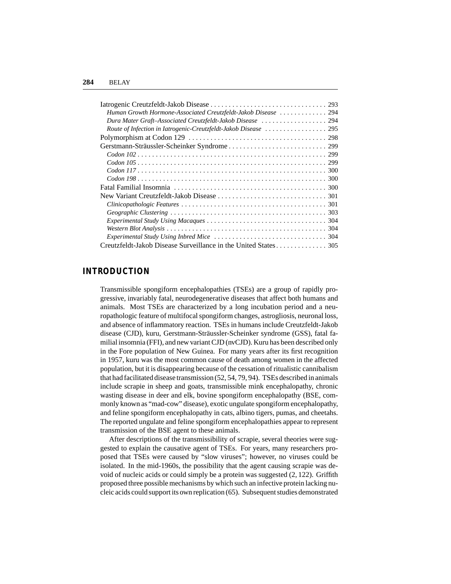## **INTRODUCTION**

[?](#page-15-0) Transmissible spongiform encephalopathies (TSEs) are a group of rapidly progressive, invariably fatal, neurodegenerative diseases that affect both humans and animals. Most TSEs are characterized by a long incubation period and a neuropathologic feature of multifocal spongiform changes, astrogliosis, neuronal loss, and absence of inflammatory reaction. TSEs in humans include Creutzfeldt-Jakob disease (CJD), kuru, Gerstmann-Sträussler-Scheinker syndrome (GSS), fatal familial insomnia (FFI), and new variant CJD (nvCJD). Kuru has been described only in the Fore population of New Guinea. For many years after its first recognition in 1957, kuru was the most common cause of death among women in the affected population, but it is disappearing because of the cessation of ritualistic cannibalism that had facilitated disease transmission (52, 54, 79, 94). TSEs described in animals include scrapie in sheep and goats, transmissible mink encephalopathy, chronic wasting disease in deer and elk, bovine spongiform encephalopathy (BSE, commonly known as "mad-cow" disease), exotic ungulate spongiform encephalopathy, and feline spongiform encephalopathy in cats, albino tigers, pumas, and cheetahs. The reported ungulate and feline spongiform encephalopathies appear to represent transmission of the BSE agent to these animals.

After descriptions of the transmissibility of scrapie, several theories were suggested to explain the causative agent of TSEs. For years, many researchers proposed that TSEs were caused by "slow viruses"; however, no viruses could be isolated. In the mid-1960s, the possibility that the agent causing scrapie was devoid of nucleic acids or could simply be a protein was suggested (2, 122). Griffith proposed three possible mechanisms by which such an infective protein lacking nucleic acids could support its own replication (65). Subsequent studies demonstrated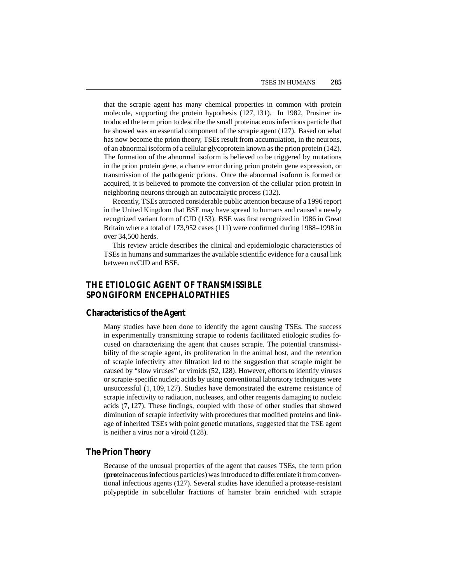that the scrapie agent has many chemical properties in common with protein molecule, supporting the protein hypothesis (127, 131). In 1982, Prusiner introduced the term prion to describe the small proteinaceous infectious particle that he showed was an essential component of the scrapie agent (127). Based on what has now become the prion theory, TSEs result from accumulation, in the neurons, of an abnormal isoform of a cellular glycoprotein known as the prion protein (142). The formation of the abnormal isoform is believed to be triggered by mutations in the prion protein gene, a chance error during prion protein gene expression, or transmission of the pathogenic prions. Once the abnormal isoform is formed or acquired, it is believed to promote the conversion of the cellular prion protein in neighboring neurons through an autocatalytic process (132).

Recently, TSEs attracted considerable public attention because of a 1996 report in the United Kingdom that BSE may have spread to humans and caused a newly recognized variant form of CJD (153). BSE was first recognized in 1986 in Great Britain where a total of 173,952 cases (111) were confirmed during 1988–1998 in over 34,500 herds.

This review article describes the clinical and epidemiologic characteristics of TSEs in humans and summarizes the available scientific evidence for a causal link between nvCJD and BSE.

# **THE ETIOLOGIC AGENT OF TRANSMISSIBLE SPONGIFORM ENCEPHALOPATHIES**

#### **Characteristics of the Agent**

d was an essential component of the scrape agent (12)<br>obsecome the prion theory, TSEs result from accumulation<br>ormal isoform of a cellular glycoprotein known as the prion<br>pormal isoform of a cellular glycoprotein known as Many studies have been done to identify the agent causing TSEs. The success in experimentally transmitting scrapie to rodents facilitated etiologic studies focused on characterizing the agent that causes scrapie. The potential transmissibility of the scrapie agent, its proliferation in the animal host, and the retention of scrapie infectivity after filtration led to the suggestion that scrapie might be caused by "slow viruses" or viroids (52, 128). However, efforts to identify viruses or scrapie-specific nucleic acids by using conventional laboratory techniques were unsuccessful (1, 109, 127). Studies have demonstrated the extreme resistance of scrapie infectivity to radiation, nucleases, and other reagents damaging to nucleic acids (7, 127). These findings, coupled with those of other studies that showed diminution of scrapie infectivity with procedures that modified proteins and linkage of inherited TSEs with point genetic mutations, suggested that the TSE agent is neither a virus nor a viroid (128).

#### **The Prion Theory**

Because of the unusual properties of the agent that causes TSEs, the term prion (**pro**teinaceous **in**fectious particles) was introduced to differentiate it from conventional infectious agents (127). Several studies have identified a protease-resistant polypeptide in subcellular fractions of hamster brain enriched with scrapie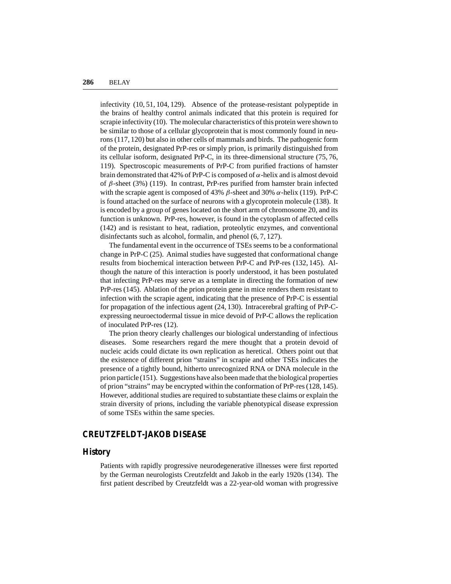to those of a cellular glycopotein that is most commonl<br>1200 but also in other cells of mammals and birds. The pie-<br>in, designated PrP-res or simply prion, is primarily dist<br>1200 but also in other cells of mammals and bir infectivity (10, 51, 104, 129). Absence of the protease-resistant polypeptide in the brains of healthy control animals indicated that this protein is required for scrapie infectivity (10). The molecular characteristics of this protein were shown to be similar to those of a cellular glycoprotein that is most commonly found in neurons (117, 120) but also in other cells of mammals and birds. The pathogenic form of the protein, designated PrP-res or simply prion, is primarily distinguished from its cellular isoform, designated PrP-C, in its three-dimensional structure (75, 76, 119). Spectroscopic measurements of PrP-C from purified fractions of hamster brain demonstrated that 42% of PrP-C is composed of  $\alpha$ -helix and is almost devoid of  $\beta$ -sheet (3%) (119). In contrast, PrP-res purified from hamster brain infected with the scrapie agent is composed of 43%  $\beta$ -sheet and 30%  $\alpha$ -helix (119). PrP-C is found attached on the surface of neurons with a glycoprotein molecule (138). It is encoded by a group of genes located on the short arm of chromosome 20, and its function is unknown. PrP-res, however, is found in the cytoplasm of affected cells (142) and is resistant to heat, radiation, proteolytic enzymes, and conventional disinfectants such as alcohol, formalin, and phenol (6, 7, 127).

The fundamental event in the occurrence of TSEs seems to be a conformational change in PrP-C (25). Animal studies have suggested that conformational change results from biochemical interaction between PrP-C and PrP-res (132, 145). Although the nature of this interaction is poorly understood, it has been postulated that infecting PrP-res may serve as a template in directing the formation of new PrP-res (145). Ablation of the prion protein gene in mice renders them resistant to infection with the scrapie agent, indicating that the presence of PrP-C is essential for propagation of the infectious agent (24, 130). Intracerebral grafting of PrP-Cexpressing neuroectodermal tissue in mice devoid of PrP-C allows the replication of inoculated PrP-res (12).

The prion theory clearly challenges our biological understanding of infectious diseases. Some researchers regard the mere thought that a protein devoid of nucleic acids could dictate its own replication as heretical. Others point out that the existence of different prion "strains" in scrapie and other TSEs indicates the presence of a tightly bound, hitherto unrecognized RNA or DNA molecule in the prion particle (151). Suggestions have also been made that the biological properties of prion "strains" may be encrypted within the conformation of PrP-res (128, 145). However, additional studies are required to substantiate these claims or explain the strain diversity of prions, including the variable phenotypical disease expression of some TSEs within the same species.

### **CREUTZFELDT-JAKOB DISEASE**

#### **History**

Patients with rapidly progressive neurodegenerative illnesses were first reported by the German neurologists Creutzfeldt and Jakob in the early 1920s (134). The first patient described by Creutzfeldt was a 22-year-old woman with progressive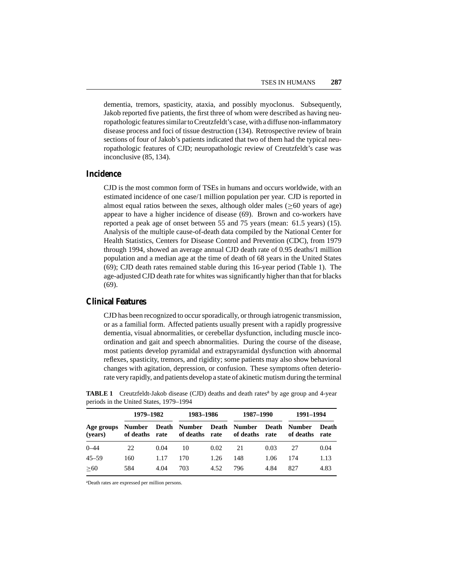dementia, tremors, spasticity, ataxia, and possibly myoclonus. Subsequently, Jakob reported five patients, the first three of whom were described as having neuropathologic features similar to Creutzfeldt's case, with a diffuse non-inflammatory disease process and foci of tissue destruction (134). Retrospective review of brain sections of four of Jakob's patients indicated that two of them had the typical neuropathologic features of CJD; neuropathologic review of Creutzfeldt's case was inconclusive (85, 134).

### **Incidence**

rocess and roc or tissue destruction (1.43). Retrospective<br>or of four of Jakob's patients indicated that two of them had<br>gic features of CDI; neuropathologic review of Creutz<br>ive (85, 134).<br>We apply the most common form o CJD is the most common form of TSEs in humans and occurs worldwide, with an estimated incidence of one case/1 million population per year. CJD is reported in almost equal ratios between the sexes, although older males (≥60 years of age) appear to have a higher incidence of disease (69). Brown and co-workers have reported a peak age of onset between 55 and 75 years (mean: 61.5 years) (15). Analysis of the multiple cause-of-death data compiled by the National Center for Health Statistics, Centers for Disease Control and Prevention (CDC), from 1979 through 1994, showed an average annual CJD death rate of 0.95 deaths/1 million population and a median age at the time of death of 68 years in the United States (69); CJD death rates remained stable during this 16-year period (Table 1). The age-adjusted CJD death rate for whites was significantly higher than that for blacks (69).

### **Clinical Features**

CJD has been recognized to occur sporadically, or through iatrogenic transmission, or as a familial form. Affected patients usually present with a rapidly progressive dementia, visual abnormalities, or cerebellar dysfunction, including muscle incoordination and gait and speech abnormalities. During the course of the disease, most patients develop pyramidal and extrapyramidal dysfunction with abnormal reflexes, spasticity, tremors, and rigidity; some patients may also show behavioral changes with agitation, depression, or confusion. These symptoms often deteriorate very rapidly, and patients develop a state of akinetic mutism during the terminal

|                       | 1979–1982      |      | 1983–1986                                          |      | 1987-1990      |      | 1991-1994                        |               |
|-----------------------|----------------|------|----------------------------------------------------|------|----------------|------|----------------------------------|---------------|
| Age groups<br>(years) | of deaths rate |      | Number Death Number Death Number<br>of deaths rate |      | of deaths rate |      | <b>Death Number</b><br>of deaths | Death<br>rate |
| $0 - 44$              | 22             | 0.04 | 10                                                 | 0.02 | 21             | 0.03 | 27                               | 0.04          |
| $45 - 59$             | 160            | 1.17 | 170                                                | 1.26 | 148            | 1.06 | 174                              | 1.13          |
| >60                   | 584            | 4.04 | 703                                                | 4.52 | 796            | 4.84 | 827                              | 4.83          |

**TABLE 1** Creutzfeldt-Jakob disease (CJD) deaths and death rates<sup>a</sup> by age group and 4-year periods in the United States, 1979–1994

a Death rates are expressed per million persons.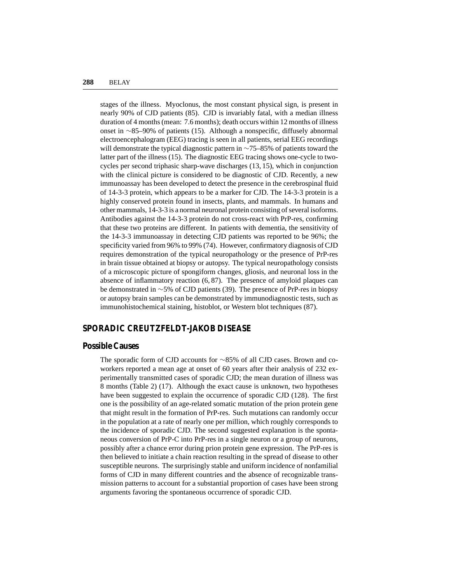85-90% of pattents (15). Although a nonspectine, ditting<br>ephalogram (EEG) tracing is seen in all patients, serial Hephalogram (EEG) tracing is seen in all patients, serial fist<br>starte the typical diagnostic pattern in ~75 stages of the illness. Myoclonus, the most constant physical sign, is present in nearly 90% of CJD patients (85). CJD is invariably fatal, with a median illness duration of 4 months (mean: 7.6 months); death occurs within 12 months of illness onset in ∼85–90% of patients (15). Although a nonspecific, diffusely abnormal electroencephalogram (EEG) tracing is seen in all patients, serial EEG recordings will demonstrate the typical diagnostic pattern in ∼75–85% of patients toward the latter part of the illness (15). The diagnostic EEG tracing shows one-cycle to twocycles per second triphasic sharp-wave discharges (13, 15), which in conjunction with the clinical picture is considered to be diagnostic of CJD. Recently, a new immunoassay has been developed to detect the presence in the cerebrospinal fluid of 14-3-3 protein, which appears to be a marker for CJD. The 14-3-3 protein is a highly conserved protein found in insects, plants, and mammals. In humans and other mammals, 14-3-3 is a normal neuronal protein consisting of several isoforms. Antibodies against the 14-3-3 protein do not cross-react with PrP-res, confirming that these two proteins are different. In patients with dementia, the sensitivity of the 14-3-3 immunoassay in detecting CJD patients was reported to be 96%; the specificity varied from 96% to 99% (74). However, confirmatory diagnosis of CJD requires demonstration of the typical neuropathology or the presence of PrP-res in brain tissue obtained at biopsy or autopsy. The typical neuropathology consists of a microscopic picture of spongiform changes, gliosis, and neuronal loss in the absence of inflammatory reaction (6, 87). The presence of amyloid plaques can be demonstrated in ∼5% of CJD patients (39). The presence of PrP-res in biopsy or autopsy brain samples can be demonstrated by immunodiagnostic tests, such as immunohistochemical staining, histoblot, or Western blot techniques (87).

#### **SPORADIC CREUTZFELDT-JAKOB DISEASE**

#### **Possible Causes**

The sporadic form of CJD accounts for ∼85% of all CJD cases. Brown and coworkers reported a mean age at onset of 60 years after their analysis of 232 experimentally transmitted cases of sporadic CJD; the mean duration of illness was 8 months (Table 2) (17). Although the exact cause is unknown, two hypotheses have been suggested to explain the occurrence of sporadic CJD (128). The first one is the possibility of an age-related somatic mutation of the prion protein gene that might result in the formation of PrP-res. Such mutations can randomly occur in the population at a rate of nearly one per million, which roughly corresponds to the incidence of sporadic CJD. The second suggested explanation is the spontaneous conversion of PrP-C into PrP-res in a single neuron or a group of neurons, possibly after a chance error during prion protein gene expression. The PrP-res is then believed to initiate a chain reaction resulting in the spread of disease to other susceptible neurons. The surprisingly stable and uniform incidence of nonfamilial forms of CJD in many different countries and the absence of recognizable transmission patterns to account for a substantial proportion of cases have been strong arguments favoring the spontaneous occurrence of sporadic CJD.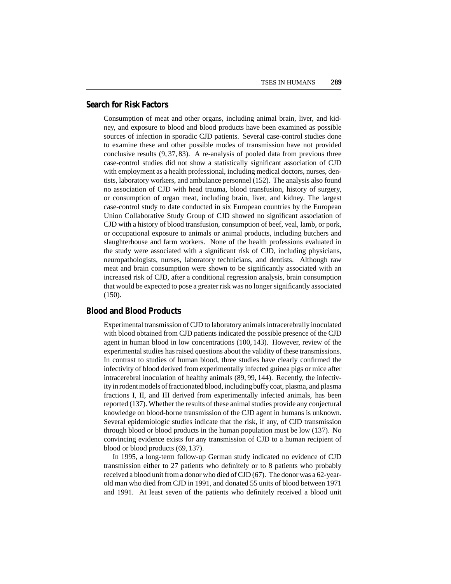#### **Search for Risk Factors**

If the<br>difference in sporalic CJD patients. Several case-contene these and other possible modes of transmission has<br>re-re-re-statls (9,37,83). A re-analysis of pooled data from<br>restricted modes provides and the restant an Consumption of meat and other organs, including animal brain, liver, and kidney, and exposure to blood and blood products have been examined as possible sources of infection in sporadic CJD patients. Several case-control studies done to examine these and other possible modes of transmission have not provided conclusive results (9, 37, 83). A re-analysis of pooled data from previous three case-control studies did not show a statistically significant association of CJD with employment as a health professional, including medical doctors, nurses, dentists, laboratory workers, and ambulance personnel (152). The analysis also found no association of CJD with head trauma, blood transfusion, history of surgery, or consumption of organ meat, including brain, liver, and kidney. The largest case-control study to date conducted in six European countries by the European Union Collaborative Study Group of CJD showed no significant association of CJD with a history of blood transfusion, consumption of beef, veal, lamb, or pork, or occupational exposure to animals or animal products, including butchers and slaughterhouse and farm workers. None of the health professions evaluated in the study were associated with a significant risk of CJD, including physicians, neuropathologists, nurses, laboratory technicians, and dentists. Although raw meat and brain consumption were shown to be significantly associated with an increased risk of CJD, after a conditional regression analysis, brain consumption that would be expected to pose a greater risk was no longer significantly associated (150).

### **Blood and Blood Products**

Experimental transmission of CJD to laboratory animals intracerebrally inoculated with blood obtained from CJD patients indicated the possible presence of the CJD agent in human blood in low concentrations (100, 143). However, review of the experimental studies has raised questions about the validity of these transmissions. In contrast to studies of human blood, three studies have clearly confirmed the infectivity of blood derived from experimentally infected guinea pigs or mice after intracerebral inoculation of healthy animals (89, 99, 144). Recently, the infectivity in rodent models of fractionated blood, including buffy coat, plasma, and plasma fractions I, II, and III derived from experimentally infected animals, has been reported (137). Whether the results of these animal studies provide any conjectural knowledge on blood-borne transmission of the CJD agent in humans is unknown. Several epidemiologic studies indicate that the risk, if any, of CJD transmission through blood or blood products in the human population must be low (137). No convincing evidence exists for any transmission of CJD to a human recipient of blood or blood products (69, 137).

In 1995, a long-term follow-up German study indicated no evidence of CJD transmission either to 27 patients who definitely or to 8 patients who probably received a blood unit from a donor who died of CJD (67). The donor was a 62-yearold man who died from CJD in 1991, and donated 55 units of blood between 1971 and 1991. At least seven of the patients who definitely received a blood unit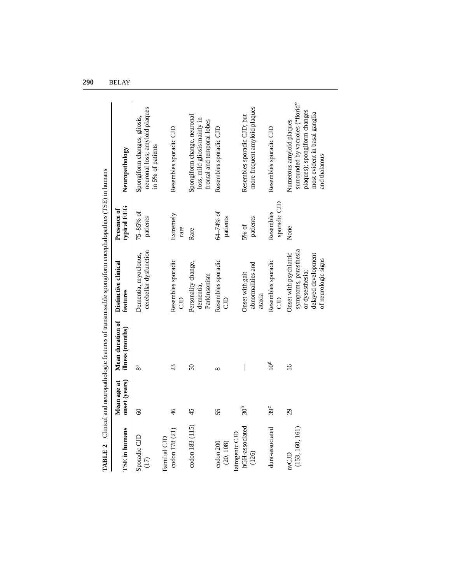| S<br>TSE in human                         | onset (years)<br>Mean age at | Mean duration of<br>illness (months) | Distinctive clinical<br>features                                                                                 | typical EEG<br>Presence of | Neuropathology                                                                                                                                |
|-------------------------------------------|------------------------------|--------------------------------------|------------------------------------------------------------------------------------------------------------------|----------------------------|-----------------------------------------------------------------------------------------------------------------------------------------------|
| Sporadic CJD<br>(17)                      | $\infty$                     | 8 <sup>a</sup>                       | cerebellar dysfunction<br>Dementia, myoclonus,                                                                   | 75-85% of<br>patients      | neuronal loss; amyloid plaques<br>Spongiform changes, gliosis,<br>in 5% of patients                                                           |
| codon 178 (2<br>Familial CJD              | $\frac{4}{6}$                | 23                                   | Resembles sporadic<br>8<br>J                                                                                     | Extremely<br>rare          | Resembles sporadic CJD                                                                                                                        |
| $\overline{5}$<br>codon 183 (11           | 45                           | $50\,$                               | Personality change,<br>Parkinsonism<br>dementia,                                                                 | Rare                       | Spongiform change, neuronal<br>loss, mild gliosis mainly in<br>frontal and temporal lobes                                                     |
| (20, 108)<br>codon 200                    | 55                           | $^{\circ}$                           | Resembles sporadic<br>සි<br>ප                                                                                    | 64-74% of<br>patients      | Resembles sporadic CJD                                                                                                                        |
| hGH-associated<br>Iatrogenic CJD<br>(126) | 30 <sup>b</sup>              |                                      | abnormalities and<br>Onset with gait<br>ataxia                                                                   | patients<br>5% of          | more frequent amyloid plaques<br>Resembles sporadic CJD; but                                                                                  |
| dura-associated                           | 39 <sup>c</sup>              | $10^{\rm d}$                         | Resembles sporadic<br>3D                                                                                         | sporadic CJD<br>Resembles  | Resembles sporadic CJD                                                                                                                        |
| (153, 160, 161)<br>$\rm nCD$              | 29                           | $\frac{6}{1}$                        | symptoms, parasthesia<br>Onset with psychiatric<br>delayed development<br>of neurologic signs<br>or dysesthesia; | None                       | surrounded by vacuoles ("florid"<br>plaques); spongiform changes<br>most evident in basal ganglia<br>Numerous amyloid plaques<br>and thalamus |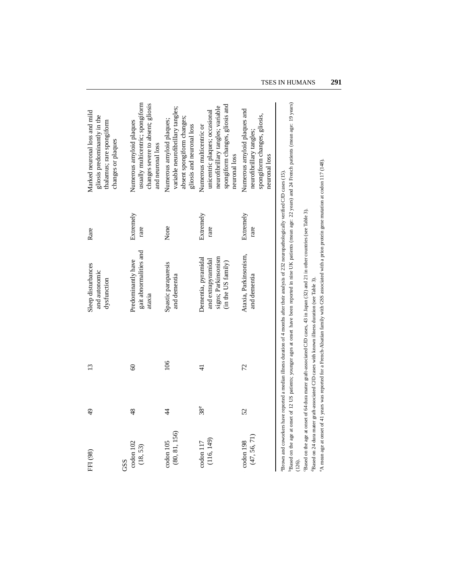| 106<br>$\degree$<br>72<br>$\frac{1}{4}$<br>38 <sup>e</sup><br>52<br>48<br>$\frac{4}{3}$<br>(80, 81, 156)<br>(47, 56, 71)<br>(116, 149)<br>$\text{codon} 198$<br>codon 105<br>$\operatorname{codom}$ 117<br>codon 102<br>(18, 53)<br>GSS | and autonomic<br>dysfunction                                                           |                                        | Marked neuronal loss and mild<br>gliosis predominantly in the<br>thalamus; rare spongiform<br>changes or plaques                   |
|-----------------------------------------------------------------------------------------------------------------------------------------------------------------------------------------------------------------------------------------|----------------------------------------------------------------------------------------|----------------------------------------|------------------------------------------------------------------------------------------------------------------------------------|
|                                                                                                                                                                                                                                         | gait abnormalities and<br>Predominantly have<br>ataxia                                 | and neuronal loss<br>Extremely<br>rare | usually multicentric; spongiform<br>changes severe to absent; gliosis<br>Numerous amyloid plaques                                  |
|                                                                                                                                                                                                                                         | Spastic paraparesis<br>and dementia                                                    | None                                   | variable neurofibrillary tangles;<br>absent spongiform changes;<br>Numerous amyloid plaques;<br>gliosis and neuronal loss          |
|                                                                                                                                                                                                                                         | signs; Parkinsonism<br>Dementia, pyramidal<br>and extrapyramidal<br>(in the US family) | neuronal loss<br>Extremely<br>rare     | spongiform changes, gliosis and<br>neurofibrillary tangles; variable<br>unicentric plaques; occasional<br>Numerous multicentric or |
|                                                                                                                                                                                                                                         | Ataxia, Parkinsonism,<br>and dementia                                                  | neuronal loss<br>Extremely<br>rare     | Numerous amyloid plaques and<br>spongiform changes, gliosis,<br>neurofibrillary tangles;                                           |

(126). cBased on the age at onset of 64 dura mater graft-associated CJD cases, 43 in Japan (32) and 21 in other countries (see Table 3). Based on the age at onset of 64 dura mater graft-associated CID cases, 43 in Japan  $(32)$  and 21 in other countries (see Table 3).

dBased on 24 dura mater graft-associated CJD cases with known illness duration (see Table 3). <sup>d</sup>Based on 24 dura mater graft-associated CJD cases with known illness duration (see Table 3).

A mean age at onset of 41 years was reported for a French-Alsatian family with GSS associated with a prion protein gene mutation at codon 117 (148). eA mean age at onset of 41 years was reported for a French-Alsatian family with GSS associated with a prion protein gene mutation at codon 117 (148).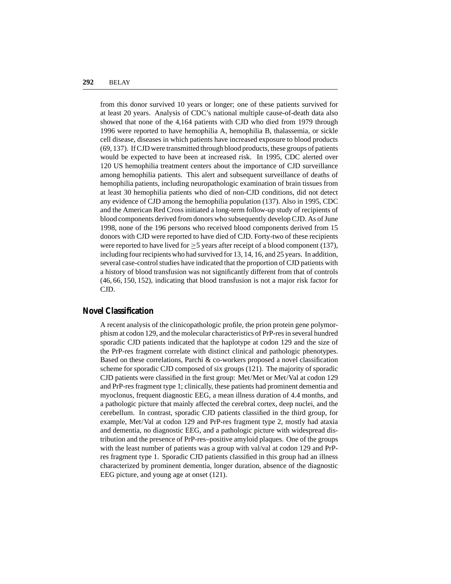r eported to have hemophilia A, nemophilia A, menophilia A, menophilia A, menophilia a, thalasses in which patients have increased exposure to If CD were transmitted through blood products, these gexposure to the been at i from this donor survived 10 years or longer; one of these patients survived for at least 20 years. Analysis of CDC's national multiple cause-of-death data also showed that none of the 4,164 patients with CJD who died from 1979 through 1996 were reported to have hemophilia A, hemophilia B, thalassemia, or sickle cell disease, diseases in which patients have increased exposure to blood products (69, 137). If CJD were transmitted through blood products, these groups of patients would be expected to have been at increased risk. In 1995, CDC alerted over 120 US hemophilia treatment centers about the importance of CJD surveillance among hemophilia patients. This alert and subsequent surveillance of deaths of hemophilia patients, including neuropathologic examination of brain tissues from at least 30 hemophilia patients who died of non-CJD conditions, did not detect any evidence of CJD among the hemophilia population (137). Also in 1995, CDC and the American Red Cross initiated a long-term follow-up study of recipients of blood components derived from donors who subsequently develop CJD. As of June 1998, none of the 196 persons who received blood components derived from 15 donors with CJD were reported to have died of CJD. Forty-two of these recipients were reported to have lived for  $>5$  years after receipt of a blood component (137), including four recipients who had survived for 13, 14, 16, and 25 years. In addition, several case-control studies have indicated that the proportion of CJD patients with a history of blood transfusion was not significantly different from that of controls (46, 66, 150, 152), indicating that blood transfusion is not a major risk factor for CJD.

#### **Novel Classification**

A recent analysis of the clinicopathologic profile, the prion protein gene polymorphism at codon 129, and the molecular characteristics of PrP-res in several hundred sporadic CJD patients indicated that the haplotype at codon 129 and the size of the PrP-res fragment correlate with distinct clinical and pathologic phenotypes. Based on these correlations, Parchi  $\&$  co-workers proposed a novel classification scheme for sporadic CJD composed of six groups (121). The majority of sporadic CJD patients were classified in the first group: Met/Met or Met/Val at codon 129 and PrP-res fragment type 1; clinically, these patients had prominent dementia and myoclonus, frequent diagnostic EEG, a mean illness duration of 4.4 months, and a pathologic picture that mainly affected the cerebral cortex, deep nuclei, and the cerebellum. In contrast, sporadic CJD patients classified in the third group, for example, Met/Val at codon 129 and PrP-res fragment type 2, mostly had ataxia and dementia, no diagnostic EEG, and a pathologic picture with widespread distribution and the presence of PrP-res–positive amyloid plaques. One of the groups with the least number of patients was a group with val/val at codon 129 and PrPres fragment type 1. Sporadic CJD patients classified in this group had an illness characterized by prominent dementia, longer duration, absence of the diagnostic EEG picture, and young age at onset (121).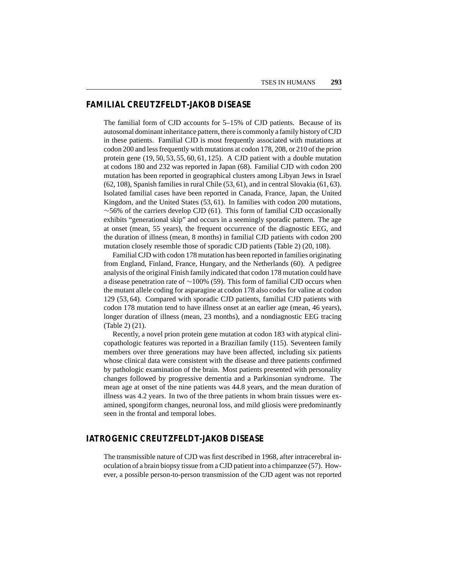### <span id="page-10-0"></span>**FAMILIAL CREUTZFELDT-JAKOB DISEASE**

d dominantimetriance pattern, there is commonly a familian<br>actions. Familian CID is most frequently associated w<br>and less frequently with mutations at codon 178, 208, or<br>one (19, 50, 35, 55, 60, 61, 125). A CID patient wit The familial form of CJD accounts for 5–15% of CJD patients. Because of its autosomal dominant inheritance pattern, there is commonly a family history of CJD in these patients. Familial CJD is most frequently associated with mutations at codon 200 and less frequently with mutations at codon 178, 208, or 210 of the prion protein gene (19, 50, 53, 55, 60, 61, 125). A CJD patient with a double mutation at codons 180 and 232 was reported in Japan (68). Familial CJD with codon 200 mutation has been reported in geographical clusters among Libyan Jews in Israel (62, 108), Spanish families in rural Chile (53, 61), and in central Slovakia (61, 63). Isolated familial cases have been reported in Canada, France, Japan, the United Kingdom, and the United States (53, 61). In families with codon 200 mutations,  $\sim$ 56% of the carriers develop CJD (61). This form of familial CJD occasionally exhibits "generational skip" and occurs in a seemingly sporadic pattern. The age at onset (mean, 55 years), the frequent occurrence of the diagnostic EEG, and the duration of illness (mean, 8 months) in familial CJD patients with codon 200 mutation closely resemble those of sporadic CJD patients (Table 2) (20, 108).

Familial CJD with codon 178 mutation has been reported in families originating from England, Finland, France, Hungary, and the Netherlands (60). A pedigree analysis of the original Finish family indicated that codon 178 mutation could have a disease penetration rate of ∼100% (59). This form of familial CJD occurs when the mutant allele coding for asparagine at codon 178 also codes for valine at codon 129 (53, 64). Compared with sporadic CJD patients, familial CJD patients with codon 178 mutation tend to have illness onset at an earlier age (mean, 46 years), longer duration of illness (mean, 23 months), and a nondiagnostic EEG tracing (Table 2) (21).

Recently, a novel prion protein gene mutation at codon 183 with atypical clinicopathologic features was reported in a Brazilian family (115). Seventeen family members over three generations may have been affected, including six patients whose clinical data were consistent with the disease and three patients confirmed by pathologic examination of the brain. Most patients presented with personality changes followed by progressive dementia and a Parkinsonian syndrome. The mean age at onset of the nine patients was 44.8 years, and the mean duration of illness was 4.2 years. In two of the three patients in whom brain tissues were examined, spongiform changes, neuronal loss, and mild gliosis were predominantly seen in the frontal and temporal lobes.

### **IATROGENIC CREUTZFELDT-JAKOB DISEASE**

The transmissible nature of CJD was first described in 1968, after intracerebral inoculation of a brain biopsy tissue from a CJD patient into a chimpanzee (57). However, a possible person-to-person transmission of the CJD agent was not reported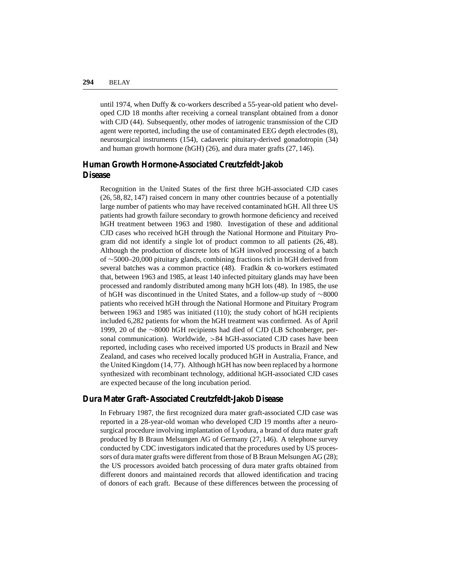<span id="page-11-0"></span>until 1974, when Duffy & co-workers described a 55-year-old patient who developed CJD 18 months after receiving a corneal transplant obtained from a donor with CJD (44). Subsequently, other modes of iatrogenic transmission of the CJD agent were reported, including the use of contaminated EEG depth electrodes (8), neurosurgical instruments (154), cadaveric pituitary-derived gonadotropin (34) and human growth hormone (hGH) (26), and dura mater grafts (27, 146).

# **Human Growth Hormone-Associated Creutzfeldt-Jakob Disease**

reported, meltiding the use of contaminated EEG deptites are a<br>reacted instruments (154), cadaveric pituitary-derived gor<br>around to growth hormone (hGH) (26), and dura mater grafts (2<br> **th Hormone-Associated Creutzfeldt-Ja** Recognition in the United States of the first three hGH-associated CJD cases (26, 58, 82, 147) raised concern in many other countries because of a potentially large number of patients who may have received contaminated hGH. All three US patients had growth failure secondary to growth hormone deficiency and received hGH treatment between 1963 and 1980. Investigation of these and additional CJD cases who received hGH through the National Hormone and Pituitary Program did not identify a single lot of product common to all patients (26, 48). Although the production of discrete lots of hGH involved processing of a batch of ∼5000–20,000 pituitary glands, combining fractions rich in hGH derived from several batches was a common practice (48). Fradkin & co-workers estimated that, between 1963 and 1985, at least 140 infected pituitary glands may have been processed and randomly distributed among many hGH lots (48). In 1985, the use of hGH was discontinued in the United States, and a follow-up study of ∼8000 patients who received hGH through the National Hormone and Pituitary Program between 1963 and 1985 was initiated (110); the study cohort of hGH recipients included 6,282 patients for whom the hGH treatment was confirmed. As of April 1999, 20 of the ∼8000 hGH recipients had died of CJD (LB Schonberger, personal communication). Worldwide, >84 hGH-associated CJD cases have been reported, including cases who received imported US products in Brazil and New Zealand, and cases who received locally produced hGH in Australia, France, and the United Kingdom (14, 77). Although hGH has now been replaced by a hormone synthesized with recombinant technology, additional hGH-associated CJD cases are expected because of the long incubation period.

#### **Dura Mater Graft–Associated Creutzfeldt-Jakob Disease**

In February 1987, the first recognized dura mater graft-associated CJD case was reported in a 28-year-old woman who developed CJD 19 months after a neurosurgical procedure involving implantation of Lyodura, a brand of dura mater graft produced by B Braun Melsungen AG of Germany (27, 146). A telephone survey conducted by CDC investigators indicated that the procedures used by US processors of dura mater grafts were different from those of B Braun Melsungen AG (28); the US processors avoided batch processing of dura mater grafts obtained from different donors and maintained records that allowed identification and tracing of donors of each graft. Because of these differences between the processing of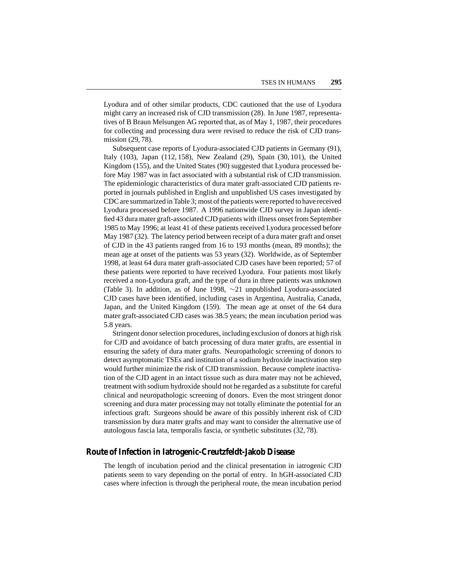<span id="page-12-0"></span>Lyodura and of other similar products, CDC cautioned that the use of Lyodura might carry an increased risk of CJD transmission (28). In June 1987, representatives of B Braun Melsungen AG reported that, as of May 1, 1987, their procedures for collecting and processing dura were revised to reduce the risk of CJD transmission (29, 78).

ring and processing dura were revised to reduce the ring<br>29,78).<br>29,78). Japan (112,158), New Zealand (2D) patients i<br>32,78). Japan (112,158), New Zealand (29), Spain (30,1,<br>1(155), and the United States (90) suggested tha Subsequent case reports of Lyodura-associated CJD patients in Germany (91), Italy (103), Japan (112, 158), New Zealand (29), Spain (30, 101), the United Kingdom (155), and the United States (90) suggested that Lyodura processed before May 1987 was in fact associated with a substantial risk of CJD transmission. The epidemiologic characteristics of dura mater graft-associated CJD patients reported in journals published in English and unpublished US cases investigated by CDC are summarized in Table 3; most of the patients were reported to have received Lyodura processed before 1987. A 1996 nationwide CJD survey in Japan identified 43 dura mater graft-associated CJD patients with illness onset from September 1985 to May 1996; at least 41 of these patients received Lyodura processed before May 1987 (32). The latency period between receipt of a dura mater graft and onset of CJD in the 43 patients ranged from 16 to 193 months (mean, 89 months); the mean age at onset of the patients was 53 years (32). Worldwide, as of September 1998, at least 64 dura mater graft-associated CJD cases have been reported; 57 of these patients were reported to have received Lyodura. Four patients most likely received a non-Lyodura graft, and the type of dura in three patients was unknown (Table 3). In addition, as of June 1998, ∼21 unpublished Lyodura-associated CJD cases have been identified, including cases in Argentina, Australia, Canada, Japan, and the United Kingdom (159). The mean age at onset of the 64 dura mater graft-associated CJD cases was 38.5 years; the mean incubation period was 5.8 years.

Stringent donor selection procedures, including exclusion of donors at high risk for CJD and avoidance of batch processing of dura mater grafts, are essential in ensuring the safety of dura mater grafts. Neuropathologic screening of donors to detect asymptomatic TSEs and institution of a sodium hydroxide inactivation step would further minimize the risk of CJD transmission. Because complete inactivation of the CJD agent in an intact tissue such as dura mater may not be achieved, treatment with sodium hydroxide should not be regarded as a substitute for careful clinical and neuropathologic screening of donors. Even the most stringent donor screening and dura mater processing may not totally eliminate the potential for an infectious graft. Surgeons should be aware of this possibly inherent risk of CJD transmission by dura mater grafts and may want to consider the alternative use of autologous fascia lata, temporalis fascia, or synthetic substitutes (32, 78).

#### **Route of Infection in Iatrogenic-Creutzfeldt-Jakob Disease**

The length of incubation period and the clinical presentation in iatrogenic CJD patients seem to vary depending on the portal of entry. In hGH-associated CJD cases where infection is through the peripheral route, the mean incubation period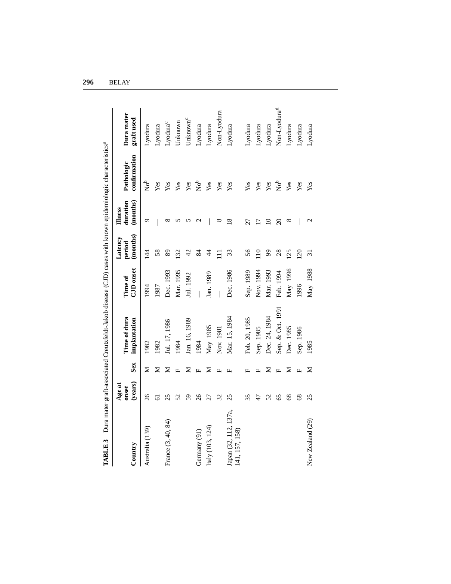|                                           | Age at<br>onset |              | Time of dura    | Time of                               | Latency<br>period | duration<br><b>Illness</b> | Pathologic             | Dura mater               |
|-------------------------------------------|-----------------|--------------|-----------------|---------------------------------------|-------------------|----------------------------|------------------------|--------------------------|
| Country                                   | (years)         | Sex          | implantation    | CJD onset                             | (months)          | (months)                   | confirmation           | graft used               |
| <b>[39]</b><br>Australia (                | 26              | z            | 1982            | 1994                                  | $\overline{14}$   | ూ                          | $\overline{R}^{\circ}$ | Lyodura                  |
|                                           | 61              | z            | 1982            | 1987                                  | 58                |                            | Yes                    | Lyodura                  |
| France (3, 40, 84)                        | 25              | ⊠            | Jul. 17, 1986   | Dec. 1993                             | 89                | $\infty$                   | Yes                    | Lyodura <sup>c</sup>     |
|                                           | 52              | Щ            | 1984            | Mar. 1995                             | 132               | ∽                          | Yes                    | Unknown                  |
|                                           | 59              | ⋝            | Jan. 16, 1989   | Jul. 1992                             | 42                |                            | Yes                    | Unknown <sup>c</sup>     |
| Germany (91)                              | $\delta$        | Щ            | 1984            | $\begin{array}{c} \hline \end{array}$ | $\approx$         |                            | $\sum_{i=1}^{b}$       | Lyodura                  |
| 124)<br>Italy (103,                       | 27              | ⋝            | May 1985        | Jan. 1989                             | 4                 |                            | Yes                    | Lyodura                  |
|                                           | 32              | L            | Nov. 1981       |                                       |                   | ∞                          | Yes                    | Non-Lyodura              |
| 112, 137a<br>141, 157, 158)<br>Japan (32, | 25              |              | Mar. 15, 1984   | Dec. 1986                             | 33                | $\overline{8}$             | Yes                    | Lyodura                  |
|                                           | 35              |              | Feb. 20, 1985   | Sep. 1989                             | 56                | 27                         | Yes                    | Lyodura                  |
|                                           | 47              | ⋢            | Sep. 1985       | Nov. 1994                             | $\frac{10}{10}$   | $\overline{17}$            | Yes                    | Lyodura                  |
|                                           | 52              | ⋝            | Dec. 24, 1984   | Mar. 1993                             | 99                | $\overline{10}$            | Yes                    | Lyodura                  |
|                                           | 65              | $\mathbf{L}$ | Sep. & Oct. 199 | Feb. 1994                             | 28                | $\Omega$                   | $\sum_{i=1}^{n}$       | Non-Lyodura <sup>d</sup> |
|                                           | $\frac{8}{3}$   | ⊠            | Dec. 1985       | May 1996                              | 125               | ∞                          | Yes                    | Lyodura                  |
|                                           | $\frac{8}{3}$   | Щ            | Sep. 1986       | 1996                                  | 120               |                            | Yes                    | Lyodura                  |
| New Zealand (29)                          | 25              | ⋝            | 1985            | May 1988                              | $\overline{31}$   | $\mathrel{\sim}$           | Yes                    | Lyodura                  |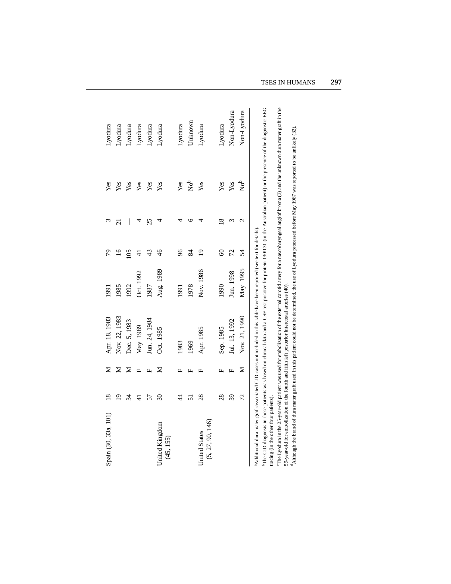| Spain (30, 33a, 101)              | $\frac{8}{18}$ | Z | Apr. 18, 1983                                                                                                                                                                                                                                                                                                                                               | 1991      | 79             | ξ               | Yes | Lyodura     |
|-----------------------------------|----------------|---|-------------------------------------------------------------------------------------------------------------------------------------------------------------------------------------------------------------------------------------------------------------------------------------------------------------------------------------------------------------|-----------|----------------|-----------------|-----|-------------|
|                                   | $\overline{0}$ | ⊠ | Nov. 22, 1983                                                                                                                                                                                                                                                                                                                                               | 1985      | $\overline{a}$ | $\overline{21}$ | Yes | Lyodura     |
|                                   | 34             | Z | Dec. 5, 1983                                                                                                                                                                                                                                                                                                                                                | 1992      | 105            | I               | Yes | Lyodura     |
|                                   | $\pm$          | Щ | May 1989                                                                                                                                                                                                                                                                                                                                                    | Oct. 1992 | $\pm$          | 4               | Yes | Lyodura     |
|                                   | 57             | Щ | Jun. 24, 1984                                                                                                                                                                                                                                                                                                                                               | 1987      | 43             | 25              | Yes | Lyodura     |
| United Kingdom<br>(45, 155)       | $\mathcal{S}$  | ⊠ | Oct. 1985                                                                                                                                                                                                                                                                                                                                                   | Aug. 1989 | $\frac{4}{6}$  | 4               | Yes | Lyodura     |
|                                   | 4              | Щ | 1983                                                                                                                                                                                                                                                                                                                                                        | 1991      | 96             |                 | Yes | Lyodura     |
|                                   | 51             | L | 1969                                                                                                                                                                                                                                                                                                                                                        | 1978      | 84             | c               | pp  | Unknown     |
| (5, 27, 90, 146)<br>United States | 28             | 山 | Apr. 1985                                                                                                                                                                                                                                                                                                                                                   | Nov. 1986 | $\overline{0}$ | 4               | Yes | Lyodura     |
|                                   | 28             | Щ | Sep. 1985                                                                                                                                                                                                                                                                                                                                                   | 1990      | 8              | $\frac{8}{18}$  | Yes | Lyodura     |
|                                   | 39             | L | Jul. 13, 1992                                                                                                                                                                                                                                                                                                                                               | Jun. 1998 | 72             |                 | Yes | Non-Lyodura |
|                                   | 72             | ≍ | Nov. 21, 1990                                                                                                                                                                                                                                                                                                                                               | May 1995  | 24             | $\mathcal{C}$   | pp  | Non-Lyodura |
|                                   |                |   | <sup>p</sup> The CID diagnosis in these patients was based on clinical data and a CSF test positive for protein 130/131 (in the Australian patient) or the presence of the diagnostic EEG<br>tracing (in the other four patients).<br>Additional dura mater graft-associated CJD cases not included in this table have been reported (see text for details) |           |                |                 |     |             |
|                                   |                |   | "The Lyodura in the 25-year-old patient was used for embolization of the external carotid artery for a nasopharyngeal angiofibroma (3) and the unknown dura mater graft in the<br>59-year-old for embolization of the fourth and                                                                                                                            |           |                |                 |     |             |
|                                   |                |   |                                                                                                                                                                                                                                                                                                                                                             |           |                |                 |     |             |

TSES IN HUMANS **297**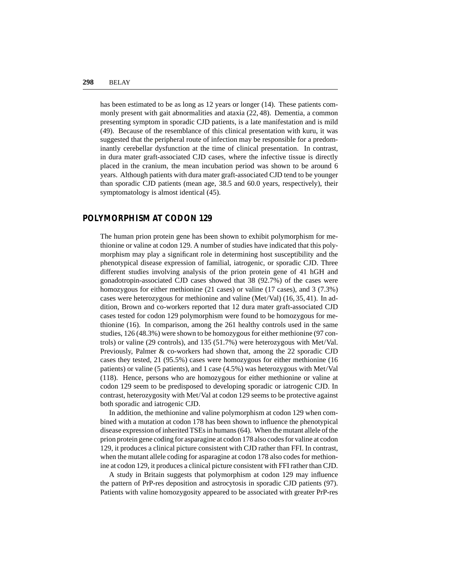<span id="page-15-0"></span>has been estimated to be as long as 12 years or longer (14). These patients commonly present with gait abnormalities and ataxia (22, 48). Dementia, a common presenting symptom in sporadic CJD patients, is a late manifestation and is mild (49). Because of the resemblance of this clinical presentation with kuru, it was suggested that the peripheral route of infection may be responsible for a predominantly cerebellar dysfunction at the time of clinical presentation. In contrast, in dura mater graft-associated CJD cases, where the infective tissue is directly placed in the cranium, the mean incubation period was shown to be around 6 years. Although patients with dura mater graft-associated CJD tend to be younger than sporadic CJD patients (mean age, 38.5 and 60.0 years, respectively), their symptomatology is almost identical (45).

#### **POLYMORPHISM AT CODON 129**

ause of the resonblance of this clinical presentation with<br>that the peripheral route of infection may be responsible<br>the the peripheral route of infection may be responsible<br>refellar dysfunction at the time of clinical pre The human prion protein gene has been shown to exhibit polymorphism for methionine or valine at codon 129. A number of studies have indicated that this polymorphism may play a significant role in determining host susceptibility and the phenotypical disease expression of familial, iatrogenic, or sporadic CJD. Three different studies involving analysis of the prion protein gene of 41 hGH and gonadotropin-associated CJD cases showed that 38 (92.7%) of the cases were homozygous for either methionine (21 cases) or valine (17 cases), and 3 (7.3%) cases were heterozygous for methionine and valine (Met/Val) (16, 35, 41). In addition, Brown and co-workers reported that 12 dura mater graft-associated CJD cases tested for codon 129 polymorphism were found to be homozygous for methionine (16). In comparison, among the 261 healthy controls used in the same studies, 126 (48.3%) were shown to be homozygous for either methionine (97 controls) or valine (29 controls), and 135 (51.7%) were heterozygous with Met/Val. Previously, Palmer & co-workers had shown that, among the 22 sporadic CJD cases they tested, 21 (95.5%) cases were homozygous for either methionine (16 patients) or valine (5 patients), and 1 case (4.5%) was heterozygous with Met/Val (118). Hence, persons who are homozygous for either methionine or valine at codon 129 seem to be predisposed to developing sporadic or iatrogenic CJD. In contrast, heterozygosity with Met/Val at codon 129 seems to be protective against both sporadic and iatrogenic CJD.

In addition, the methionine and valine polymorphism at codon 129 when combined with a mutation at codon 178 has been shown to influence the phenotypical disease expression of inherited TSEs in humans (64). When the mutant allele of the prion protein gene coding for asparagine at codon 178 also codes for valine at codon 129, it produces a clinical picture consistent with CJD rather than FFI. In contrast, when the mutant allele coding for asparagine at codon 178 also codes for methionine at codon 129, it produces a clinical picture consistent with FFI rather than CJD.

A study in Britain suggests that polymorphism at codon 129 may influence the pattern of PrP-res deposition and astrocytosis in sporadic CJD patients (97). Patients with valine homozygosity appeared to be associated with greater PrP-res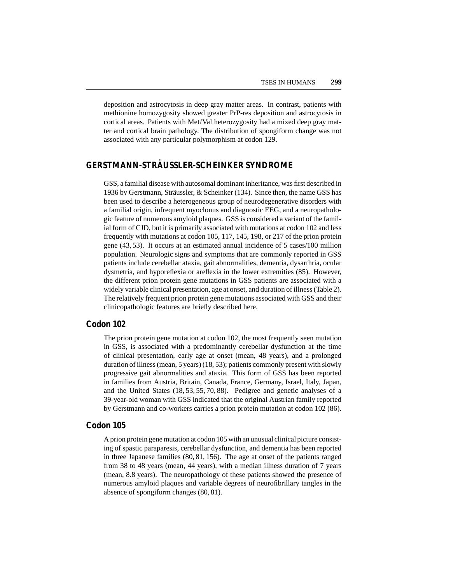<span id="page-16-0"></span>deposition and astrocytosis in deep gray matter areas. In contrast, patients with methionine homozygosity showed greater PrP-res deposition and astrocytosis in cortical areas. Patients with Met/Val heterozygosity had a mixed deep gray matter and cortical brain pathology. The distribution of spongiform change was not associated with any particular polymorphism at codon 129.

## **GERSTMANN-STR AUSSLER-SCHEINKER SYNDROME ¨**

ortical brain pathology. The distribution of spongtrom<br>
with any particular polymorphism at codon 129.<br>
IN-STRÄUSSLER-SCHEINKER SYNDROME<br>
milial disease with autosomal dominant inheriance, was<br>
different mann, Sträussler, GSS, a familial disease with autosomal dominant inheritance, was first described in 1936 by Gerstmann, Sträussler, & Scheinker (134). Since then, the name GSS has been used to describe a heterogeneous group of neurodegenerative disorders with a familial origin, infrequent myoclonus and diagnostic EEG, and a neuropathologic feature of numerous amyloid plaques. GSS is considered a variant of the familial form of CJD, but it is primarily associated with mutations at codon 102 and less frequently with mutations at codon 105, 117, 145, 198, or 217 of the prion protein gene (43, 53). It occurs at an estimated annual incidence of 5 cases/100 million population. Neurologic signs and symptoms that are commonly reported in GSS patients include cerebellar ataxia, gait abnormalities, dementia, dysarthria, ocular dysmetria, and hyporeflexia or areflexia in the lower extremities (85). However, the different prion protein gene mutations in GSS patients are associated with a widely variable clinical presentation, age at onset, and duration of illness (Table 2). The relatively frequent prion protein gene mutations associated with GSS and their clinicopathologic features are briefly described here.

#### **Codon 102**

The prion protein gene mutation at codon 102, the most frequently seen mutation in GSS, is associated with a predominantly cerebellar dysfunction at the time of clinical presentation, early age at onset (mean, 48 years), and a prolonged duration of illness (mean, 5 years) (18, 53); patients commonly present with slowly progressive gait abnormalities and ataxia. This form of GSS has been reported in families from Austria, Britain, Canada, France, Germany, Israel, Italy, Japan, and the United States (18, 53, 55, 70, 88). Pedigree and genetic analyses of a 39-year-old woman with GSS indicated that the original Austrian family reported by Gerstmann and co-workers carries a prion protein mutation at codon 102 (86).

#### **Codon 105**

A prion protein gene mutation at codon 105 with an unusual clinical picture consisting of spastic paraparesis, cerebellar dysfunction, and dementia has been reported in three Japanese families (80, 81, 156). The age at onset of the patients ranged from 38 to 48 years (mean, 44 years), with a median illness duration of 7 years (mean, 8.8 years). The neuropathology of these patients showed the presence of numerous amyloid plaques and variable degrees of neurofibrillary tangles in the absence of spongiform changes (80, 81).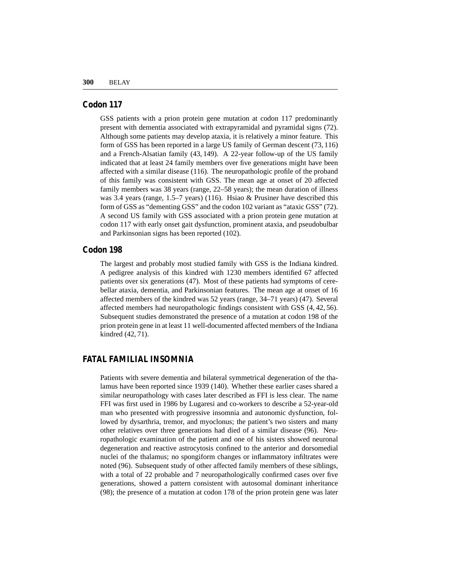#### <span id="page-17-0"></span>**Codon 117**

GSS patients with a prion protein gene mutation at codon 117 predominantly present with dementia associated with extrapyramidal and pyramidal signs (72). Although some patients may develop ataxia, it is relatively a minor feature. This form of GSS has been reported in a large US family of German descent (73, 116) and a French-Alsatian family (43, 149). A 22-year follow-up of the US family indicated that at least 24 family members over five generations might have been affected with a similar disease (116). The neuropathologic profile of the proband of this family was consistent with GSS. The mean age at onset of 20 affected family members was 38 years (range, 22–58 years); the mean duration of illness was 3.4 years (range, 1.5–7 years) (116). Hsiao & Prusiner have described this form of GSS as "dementing GSS" and the codon 102 variant as "ataxic GSS" (72). A second US family with GSS associated with a prion protein gene mutation at codon 117 with early onset gait dysfunction, prominent ataxia, and pseudobulbar and Parkinsonian signs has been reported (102).

#### **Codon 198**

The largest and probably most studied family with GSS is the Indiana kindred. A pedigree analysis of this kindred with 1230 members identified 67 affected patients over six generations (47). Most of these patients had symptoms of cerebellar ataxia, dementia, and Parkinsonian features. The mean age at onset of 16 affected members of the kindred was 52 years (range, 34–71 years) (47). Several affected members had neuropathologic findings consistent with GSS (4, 42, 56). Subsequent studies demonstrated the presence of a mutation at codon 198 of the prion protein gene in at least 11 well-documented affected members of the Indiana kindred (42, 71).

#### **FATAL FAMILIAL INSOMNIA**

some patients may develop ataxia, it is relatively a minimum<br>some patients may develop ataxia, it is relatively a minimals SSS has been reprorted in a large US family of German doch-Alsatian family (43, 149). A 22-year fol Patients with severe dementia and bilateral symmetrical degeneration of the thalamus have been reported since 1939 (140). Whether these earlier cases shared a similar neuropathology with cases later described as FFI is less clear. The name FFI was first used in 1986 by Lugaresi and co-workers to describe a 52-year-old man who presented with progressive insomnia and autonomic dysfunction, followed by dysarthria, tremor, and myoclonus; the patient's two sisters and many other relatives over three generations had died of a similar disease (96). Neuropathologic examination of the patient and one of his sisters showed neuronal degeneration and reactive astrocytosis confined to the anterior and dorsomedial nuclei of the thalamus; no spongiform changes or inflammatory infiltrates were noted (96). Subsequent study of other affected family members of these siblings, with a total of 22 probable and 7 neuropathologically confirmed cases over five generations, showed a pattern consistent with autosomal dominant inheritance (98); the presence of a mutation at codon 178 of the prion protein gene was later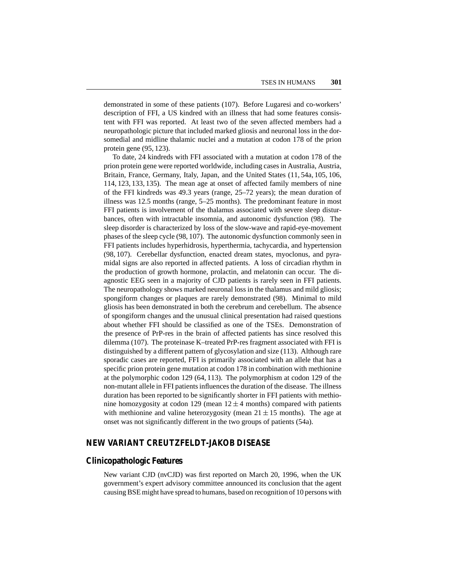<span id="page-18-0"></span>demonstrated in some of these patients (107). Before Lugaresi and co-workers' description of FFI, a US kindred with an illness that had some features consistent with FFI was reported. At least two of the seven affected members had a neuropathologic picture that included marked gliosis and neuronal loss in the dorsomedial and midline thalamic nuclei and a mutation at codon 178 of the prion protein gene (95, 123).

nologic picture that included marked gloosis and neurons<br>and midline thalmic nuclei and a mustaion at codon<br>and midline thalamic nuclei and a mustaion at codon<br>ene (95, 123).<br>e, 24 kindreds with FFI associated with a mutat To date, 24 kindreds with FFI associated with a mutation at codon 178 of the prion protein gene were reported worldwide, including cases in Australia, Austria, Britain, France, Germany, Italy, Japan, and the United States (11, 54a, 105, 106, 114, 123, 133, 135). The mean age at onset of affected family members of nine of the FFI kindreds was 49.3 years (range, 25–72 years); the mean duration of illness was 12.5 months (range, 5–25 months). The predominant feature in most FFI patients is involvement of the thalamus associated with severe sleep disturbances, often with intractable insomnia, and autonomic dysfunction (98). The sleep disorder is characterized by loss of the slow-wave and rapid-eye-movement phases of the sleep cycle (98, 107). The autonomic dysfunction commonly seen in FFI patients includes hyperhidrosis, hyperthermia, tachycardia, and hypertension (98, 107). Cerebellar dysfunction, enacted dream states, myoclonus, and pyramidal signs are also reported in affected patients. A loss of circadian rhythm in the production of growth hormone, prolactin, and melatonin can occur. The diagnostic EEG seen in a majority of CJD patients is rarely seen in FFI patients. The neuropathology shows marked neuronal loss in the thalamus and mild gliosis; spongiform changes or plaques are rarely demonstrated (98). Minimal to mild gliosis has been demonstrated in both the cerebrum and cerebellum. The absence of spongiform changes and the unusual clinical presentation had raised questions about whether FFI should be classified as one of the TSEs. Demonstration of the presence of PrP-res in the brain of affected patients has since resolved this dilemma (107). The proteinase K–treated PrP-res fragment associated with FFI is distinguished by a different pattern of glycosylation and size (113). Although rare sporadic cases are reported, FFI is primarily associated with an allele that has a specific prion protein gene mutation at codon 178 in combination with methionine at the polymorphic codon 129 (64, 113). The polymorphism at codon 129 of the non-mutant allele in FFI patients influences the duration of the disease. The illness duration has been reported to be significantly shorter in FFI patients with methionine homozygosity at codon 129 (mean  $12 \pm 4$  months) compared with patients with methionine and valine heterozygosity (mean  $21 \pm 15$  months). The age at onset was not significantly different in the two groups of patients (54a).

### **NEW VARIANT CREUTZFELDT-JAKOB DISEASE**

#### **Clinicopathologic Features**

New variant CJD (nvCJD) was first reported on March 20, 1996, when the UK government's expert advisory committee announced its conclusion that the agent causing BSE might have spread to humans, based on recognition of 10 persons with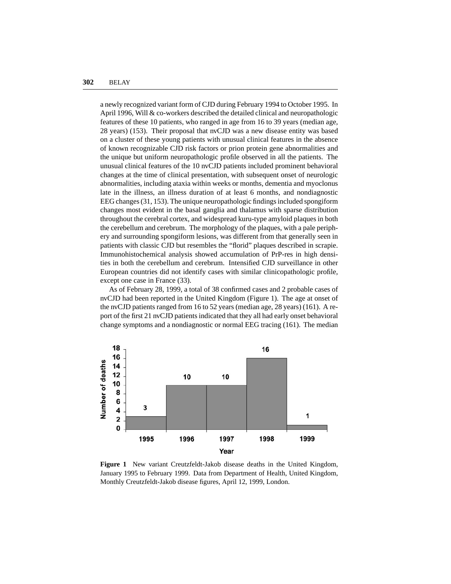(153). Their proposal that wCJD was a new disease et also<br>
at of these young paitents with unusual clinical features<br>
recognizable CJD risk factors or prion protein gene ab<br>
but uniform neuropathologic profile observed in a newly recognized variant form of CJD during February 1994 to October 1995. In April 1996, Will & co-workers described the detailed clinical and neuropathologic features of these 10 patients, who ranged in age from 16 to 39 years (median age, 28 years) (153). Their proposal that nvCJD was a new disease entity was based on a cluster of these young patients with unusual clinical features in the absence of known recognizable CJD risk factors or prion protein gene abnormalities and the unique but uniform neuropathologic profile observed in all the patients. The unusual clinical features of the 10 nvCJD patients included prominent behavioral changes at the time of clinical presentation, with subsequent onset of neurologic abnormalities, including ataxia within weeks or months, dementia and myoclonus late in the illness, an illness duration of at least 6 months, and nondiagnostic EEG changes (31, 153). The unique neuropathologic findings included spongiform changes most evident in the basal ganglia and thalamus with sparse distribution throughout the cerebral cortex, and widespread kuru-type amyloid plaques in both the cerebellum and cerebrum. The morphology of the plaques, with a pale periphery and surrounding spongiform lesions, was different from that generally seen in patients with classic CJD but resembles the "florid" plaques described in scrapie. Immunohistochemical analysis showed accumulation of PrP-res in high densities in both the cerebellum and cerebrum. Intensified CJD surveillance in other European countries did not identify cases with similar clinicopathologic profile, except one case in France (33).

As of February 28, 1999, a total of 38 confirmed cases and 2 probable cases of nvCJD had been reported in the United Kingdom (Figure 1). The age at onset of the nvCJD patients ranged from 16 to 52 years (median age, 28 years) (161). A report of the first 21 nvCJD patients indicated that they all had early onset behavioral change symptoms and a nondiagnostic or normal EEG tracing (161). The median



**Figure 1** New variant Creutzfeldt-Jakob disease deaths in the United Kingdom, January 1995 to February 1999. Data from Department of Health, United Kingdom, Monthly Creutzfeldt-Jakob disease figures, April 12, 1999, London.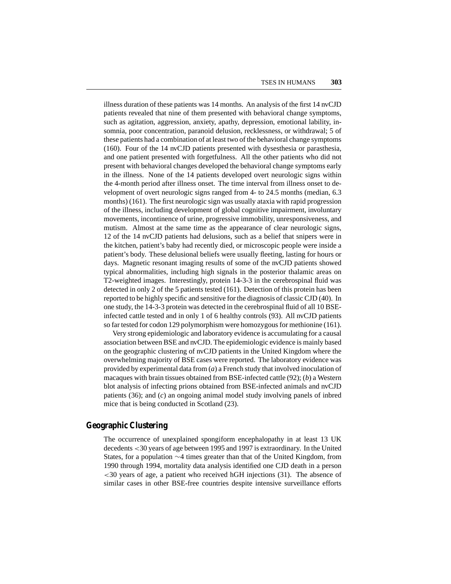<span id="page-20-0"></span>oor concentration, paranota deiussion, recklessness, or<br>oncentration, paranotal deius inon, recklessness, or<br>ensishad a combination of at least two of the behaviortal clur of the 14 mCJD patients presented with dysesthesi<br> illness duration of these patients was 14 months. An analysis of the first 14 nvCJD patients revealed that nine of them presented with behavioral change symptoms, such as agitation, aggression, anxiety, apathy, depression, emotional lability, insomnia, poor concentration, paranoid delusion, recklessness, or withdrawal; 5 of these patients had a combination of at least two of the behavioral change symptoms (160). Four of the 14 nvCJD patients presented with dysesthesia or parasthesia, and one patient presented with forgetfulness. All the other patients who did not present with behavioral changes developed the behavioral change symptoms early in the illness. None of the 14 patients developed overt neurologic signs within the 4-month period after illness onset. The time interval from illness onset to development of overt neurologic signs ranged from 4- to 24.5 months (median, 6.3 months) (161). The first neurologic sign was usually ataxia with rapid progression of the illness, including development of global cognitive impairment, involuntary movements, incontinence of urine, progressive immobility, unresponsiveness, and mutism. Almost at the same time as the appearance of clear neurologic signs, 12 of the 14 nvCJD patients had delusions, such as a belief that snipers were in the kitchen, patient's baby had recently died, or microscopic people were inside a patient's body. These delusional beliefs were usually fleeting, lasting for hours or days. Magnetic resonant imaging results of some of the nvCJD patients showed typical abnormalities, including high signals in the posterior thalamic areas on T2-weighted images. Interestingly, protein 14-3-3 in the cerebrospinal fluid was detected in only 2 of the 5 patients tested (161). Detection of this protein has been reported to be highly specific and sensitive for the diagnosis of classic CJD (40). In one study, the 14-3-3 protein was detected in the cerebrospinal fluid of all 10 BSEinfected cattle tested and in only 1 of 6 healthy controls (93). All nvCJD patients so far tested for codon 129 polymorphism were homozygous for methionine (161).

Very strong epidemiologic and laboratory evidence is accumulating for a causal association between BSE and nvCJD. The epidemiologic evidence is mainly based on the geographic clustering of nvCJD patients in the United Kingdom where the overwhelming majority of BSE cases were reported. The laboratory evidence was provided by experimental data from (*a*) a French study that involved inoculation of macaques with brain tissues obtained from BSE-infected cattle (92); (*b*) a Western blot analysis of infecting prions obtained from BSE-infected animals and nvCJD patients (36); and (*c*) an ongoing animal model study involving panels of inbred mice that is being conducted in Scotland (23).

### **Geographic Clustering**

The occurrence of unexplained spongiform encephalopathy in at least 13 UK decedents <30 years of age between 1995 and 1997 is extraordinary. In the United States, for a population ∼4 times greater than that of the United Kingdom, from 1990 through 1994, mortality data analysis identified one CJD death in a person <30 years of age, a patient who received hGH injections (31). The absence of similar cases in other BSE-free countries despite intensive surveillance efforts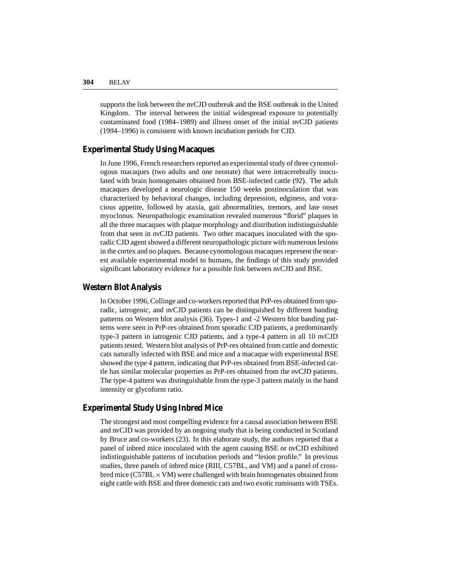<span id="page-21-0"></span>supports the link between the nvCJD outbreak and the BSE outbreak in the United Kingdom. The interval between the initial widespread exposure to potentially contaminated food (1984–1989) and illness onset of the initial nvCJD patients (1994–1996) is consistent with known incubation periods for CJD.

## **Experimental Study Using Macaques**

Fo) is consistent with known incubation periods for CD<br>
Study Using Macaques<br>
96, French researchers reported an experimental study of<br>
26, French researchers reported an experimental study<br>
brain homogenates obtained from In June 1996, French researchers reported an experimental study of three cynomologous macaques (two adults and one neonate) that were intracerebrally inoculated with brain homogenates obtained from BSE-infected cattle (92). The adult macaques developed a neurologic disease 150 weeks postinoculation that was characterized by behavioral changes, including depression, edginess, and voracious appetite, followed by ataxia, gait abnormalities, tremors, and late onset myoclonus. Neuropathologic examination revealed numerous "florid" plaques in all the three macaques with plaque morphology and distribution indistinguishable from that seen in nvCJD patients. Two other macaques inoculated with the sporadic CJD agent showed a different neuropathologic picture with numerous lesions in the cortex and no plaques. Because cynomologous macaques represent the nearest available experimental model to humans, the findings of this study provided significant laboratory evidence for a possible link between nvCJD and BSE.

#### **Western Blot Analysis**

In October 1996, Collinge and co-workers reported that PrP-res obtained from sporadic, iatrogenic, and nvCJD patients can be distinguished by different banding patterns on Western blot analysis (36). Types-1 and -2 Western blot banding patterns were seen in PrP-res obtained from sporadic CJD patients, a predominantly type-3 pattern in iatrogenic CJD patients, and a type-4 pattern in all 10 nvCJD patients tested. Western blot analysis of PrP-res obtained from cattle and domestic cats naturally infected with BSE and mice and a macaque with experimental BSE showed the type 4 pattern, indicating that PrP-res obtained from BSE-infected cattle has similar molecular properties as PrP-res obtained from the nvCJD patients. The type-4 pattern was distinguishable from the type-3 pattern mainly in the band intensity or glycoform ratio.

#### **Experimental Study Using Inbred Mice**

The strongest and most compelling evidence for a causal association between BSE and nvCJD was provided by an ongoing study that is being conducted in Scotland by Bruce and co-workers (23). In this elaborate study, the authors reported that a panel of inbred mice inoculated with the agent causing BSE or nvCJD exhibited indistinguishable patterns of incubation periods and "lesion profile." In previous studies, three panels of inbred mice (RIII, C57BL, and VM) and a panel of crossbred mice (C57BL  $\times$  VM) were challenged with brain homogenates obtained from eight cattle with BSE and three domestic cats and two exotic ruminants with TSEs.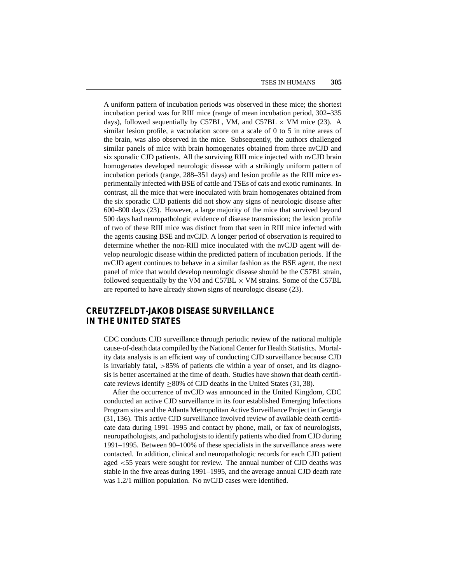<span id="page-22-0"></span>sion profile, a vacaulation score on a scale of to 5<br>sion profile, a vacal observed in the mice. Subsequently, the au<br>anels of mice with brain homogenates obtained from t<br>anels of mice with brain homogenates obtained from A uniform pattern of incubation periods was observed in these mice; the shortest incubation period was for RIII mice (range of mean incubation period, 302–335 days), followed sequentially by C57BL, VM, and C57BL  $\times$  VM mice (23). A similar lesion profile, a vacuolation score on a scale of 0 to 5 in nine areas of the brain, was also observed in the mice. Subsequently, the authors challenged similar panels of mice with brain homogenates obtained from three nvCJD and six sporadic CJD patients. All the surviving RIII mice injected with nvCJD brain homogenates developed neurologic disease with a strikingly uniform pattern of incubation periods (range, 288–351 days) and lesion profile as the RIII mice experimentally infected with BSE of cattle and TSEs of cats and exotic ruminants. In contrast, all the mice that were inoculated with brain homogenates obtained from the six sporadic CJD patients did not show any signs of neurologic disease after 600–800 days (23). However, a large majority of the mice that survived beyond 500 days had neuropathologic evidence of disease transmission; the lesion profile of two of these RIII mice was distinct from that seen in RIII mice infected with the agents causing BSE and nvCJD. A longer period of observation is required to determine whether the non-RIII mice inoculated with the nvCJD agent will develop neurologic disease within the predicted pattern of incubation periods. If the nvCJD agent continues to behave in a similar fashion as the BSE agent, the next panel of mice that would develop neurologic disease should be the C57BL strain, followed sequentially by the VM and  $C57BL \times VM$  strains. Some of the C57BL are reported to have already shown signs of neurologic disease (23).

## **CREUTZFELDT-JAKOB DISEASE SURVEILLANCE IN THE UNITED STATES**

CDC conducts CJD surveillance through periodic review of the national multiple cause-of-death data compiled by the National Center for Health Statistics. Mortality data analysis is an efficient way of conducting CJD surveillance because CJD is invariably fatal,  $>85\%$  of patients die within a year of onset, and its diagnosis is better ascertained at the time of death. Studies have shown that death certificate reviews identify ≥80% of CJD deaths in the United States (31, 38).

After the occurrence of nvCJD was announced in the United Kingdom, CDC conducted an active CJD surveillance in its four established Emerging Infections Program sites and the Atlanta Metropolitan Active Surveillance Project in Georgia (31, 136). This active CJD surveillance involved review of available death certificate data during 1991–1995 and contact by phone, mail, or fax of neurologists, neuropathologists, and pathologists to identify patients who died from CJD during 1991–1995. Between 90–100% of these specialists in the surveillance areas were contacted. In addition, clinical and neuropathologic records for each CJD patient aged <55 years were sought for review. The annual number of CJD deaths was stable in the five areas during 1991–1995, and the average annual CJD death rate was 1.2/1 million population. No nvCJD cases were identified.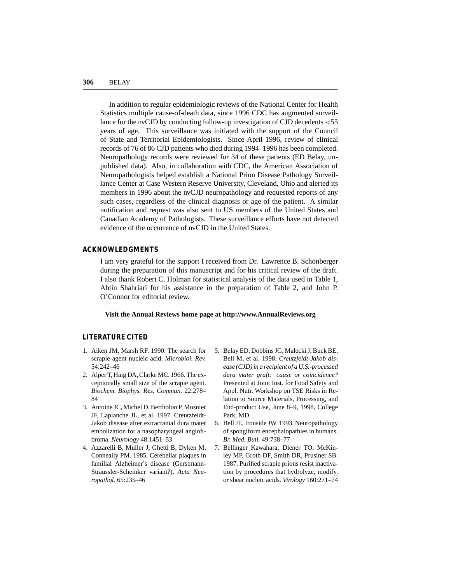ge. This surventince was initiated with the support<br>and Territorial Epidemiologists. Since April 1996, rev<br>76 of 86 CJD patients who died during 1994–1996 has bology records were reviewed for 34 of these patients<br>8 data). In addition to regular epidemiologic reviews of the National Center for Health Statistics multiple cause-of-death data, since 1996 CDC has augmented surveillance for the nvCJD by conducting follow-up investigation of CJD decedents <55 years of age. This surveillance was initiated with the support of the Council of State and Territorial Epidemiologists. Since April 1996, review of clinical records of 76 of 86 CJD patients who died during 1994–1996 has been completed. Neuropathology records were reviewed for 34 of these patients (ED Belay, unpublished data). Also, in collaboration with CDC, the American Association of Neuropathologists helped establish a National Prion Disease Pathology Surveillance Center at Case Western Reserve University, Cleveland, Ohio and alerted its members in 1996 about the nvCJD neuropathology and requested reports of any such cases, regardless of the clinical diagnosis or age of the patient. A similar notification and request was also sent to US members of the United States and Canadian Academy of Pathologists. These surveillance efforts have not detected evidence of the occurrence of nvCJD in the United States.

#### **ACKNOWLEDGMENTS**

I am very grateful for the support I received from Dr. Lawrence B. Schonberger during the preparation of this manuscript and for his critical review of the draft. I also thank Robert C. Holman for statistical analysis of the data used in Table 1, Abtin Shahriari for his assistance in the preparation of Table 2, and John P. O'Connor for editorial review.

#### **Visit the Annual Reviews home page at http://www.AnnualReviews.org**

#### **LITERATURE CITED**

- 
- 
- JF, Laplanche JL, et al. 1997. Creutzfeldt- Park, MD Jakob disease after extracranial dura mater 6. Bell JE, Ironside JW. 1993. Neuropathology broma. *Neurology* 48:1451–53 *Br. Med. Bull.* 49:738–77
- 4. Azzarelli B, Muller J, Ghetti B, Dyken M, 7. Bellinger Kawahara, Diener TO, McKin-
- 1. Aiken JM, Marsh RF. 1990. The search for 5. Belay ED, Dobbins JG, Malecki J, Buck BE, scrapie agent nucleic acid. *Microbiol. Rev.* Bell M, et al. 1998. *Creutzfeldt-Jakob dis-*54:242–46 *ease (CJD) in a recipient of a U.S.-processed*  2. Alper T, Haig DA, Clarke MC. 1966. The ex- *dura mater graft: cause or coincidence?*  ceptionally small size of the scrapie agent. Presented at Joint Inst. for Food Safety and *Biochem. Biophys. Res. Commun.* 22:278– Appl. Nutr. Workshop on TSE Risks in Re-84 lation to Source Materials, Processing, and 3. Antoine JC, Michel D, Bertholon P, Mosnier End-product Use, June 8–9, 1998, College
	- embolization for a nasopharyngeal angiofi- of spongiform encephalopathies in humans.
	- Conneally PM. 1985. Cerebellar plaques in ley MP, Groth DF, Smith DR, Prusiner SB. familial Alzheimer's disease (Gerstmann- 1987. Purified scrapie prions resist inactiva-Sträussler-Scheinker variant?). *Acta Neu*- tion by procedures that hydrolyze, modify, *ropathol.* 65:235–46 or shear nucleic acids. *Virology* 160:271–74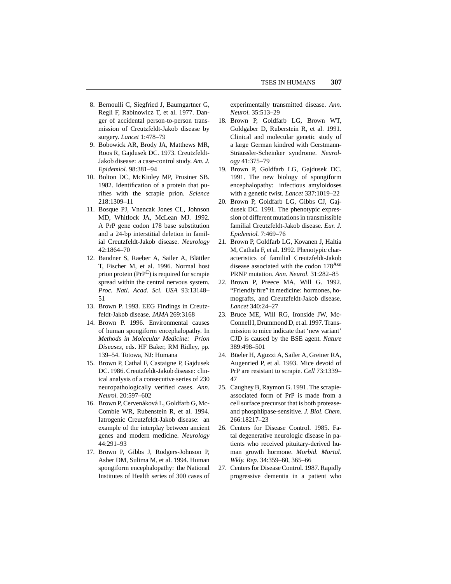- 8. Bernoulli C, Siegfried J, Baumgartner G, Regli F, Rabinowicz T, et al. 1977. Danger of accidental person-to-person transmission of Creutzfeldt-Jakob disease by surgery. *Lancet* 1:478–79
- 9. Bobowick AR, Brody JA, Matthews MR, Roos R, Gajdusek DC. 1973. Creutzfeldt-Jakob disease: a case-control study. *Am. J. Epidemiol.* 98:381–94
- 10. Bolton DC, McKinley MP, Prusiner SB. 1982. Identification of a protein that purifies with the scrapie prion. *Science*  218:1309–11
- Contactorization<br>
Cinical and molecular<br>
Circul 2.478-79<br>
Clinical and molecular<br>
RR, Brody JA, Matthews MR,<br>
REG a large German kindred<br>
eier eits case-control study, *Am. J.* ogy 41:375-79<br>
Sersa1-94<br>
density and the st 11. Bosque PJ, Vnencak Jones CL, Johnson MD, Whitlock JA, McLean MJ. 1992. A PrP gene codon 178 base substitution and a 24-bp interstitial deletion in familial Creutzfeldt-Jakob disease. *Neurology*  42:1864–70
- 12. Bandner S, Raeber A, Sailer A, Blättler T, Fischer M, et al. 1996. Normal host prion protein (PrPC) is required for scrapie spread within the central nervous system. *Proc. Natl. Acad. Sci. USA* 93:13148– 51
- 13. Brown P. 1993. EEG Findings in Creutzfeldt-Jakob disease. *JAMA* 269:3168
- 14. Brown P. 1996. Environmental causes of human spongiform encephalopathy. In *Methods in Molecular Medicine: Prion Diseases,* eds. HF Baker, RM Ridley, pp. 139–54. Totowa, NJ: Humana
- 15. Brown P, Cathal F, Castaigne P, Gajdusek DC. 1986. Creutzfeldt-Jakob disease: clinical analysis of a consecutive series of 230 neuropathologically verified cases. *Ann. Neurol.* 20:597–602
- 16. Brown P, Cervenáková L, Goldfarb G, Mc-Combie WR, Rubenstein R, et al. 1994. Iatrogenic Creutzfeldt-Jakob disease: an example of the interplay between ancient genes and modern medicine. *Neurology*  44:291–93
- 17. Brown P, Gibbs J, Rodgers-Johnson P, Asher DM, Sulima M, et al. 1994. Human spongiform encephalopathy: the National Institutes of Health series of 300 cases of

experimentally transmitted disease. *Ann. Neurol.* 35:513–29

- 18. Brown P, Goldfarb LG, Brown WT, Goldgaber D, Ruberstein R, et al. 1991. Clinical and molecular genetic study of a large German kindred with Gerstmann-Sträussler-Scheinker syndrome. Neurol*ogy* 41:375–79
- 19. Brown P, Goldfarb LG, Gajdusek DC. 1991. The new biology of spongiform encephalopathy: infectious amyloidoses with a genetic twist. *Lancet* 337:1019–22
- 20. Brown P, Goldfarb LG, Gibbs CJ, Gajdusek DC. 1991. The phenotypic expression of different mutations in transmissible familial Creutzfeldt-Jakob disease. *Eur. J. Epidemiol.* 7:469–76
- 21. Brown P, Goldfarb LG, Kovanen J, Haltia M, Cathala F, et al. 1992. Phenotypic characteristics of familial Creutzfeldt-Jakob disease associated with the codon 178<sup>Asn</sup> PRNP mutation. *Ann. Neurol.* 31:282–85
- 22. Brown P, Preece MA, Will G. 1992. "Friendly fire" in medicine: hormones, homografts, and Creutzfeldt-Jakob disease. *Lancet* 340:24–27
- 23. Bruce ME, Will RG, Ironside JW, Mc-Connell I, Drummond D, et al. 1997. Transmission to mice indicate that 'new variant' CJD is caused by the BSE agent. *Nature*  389:498–501
- 24. Büeler H, Aguzzi A, Sailer A, Greiner RA, Augenried P, et al. 1993. Mice devoid of PrP are resistant to scrapie. *Cell* 73:1339– 47
- 25. Caughey B, Raymon G. 1991. The scrapieassociated form of PrP is made from a cell surface precursor that is both proteaseand phosphlipase-sensitive. *J. Biol. Chem.*  266:18217–23
- 26. Centers for Disease Control. 1985. Fatal degenerative neurologic disease in patients who received pituitary-derived human growth hormone. *Morbid. Mortal. Wkly. Rep.* 34:359–60, 365–66
- 27. Centers for Disease Control. 1987. Rapidly progressive dementia in a patient who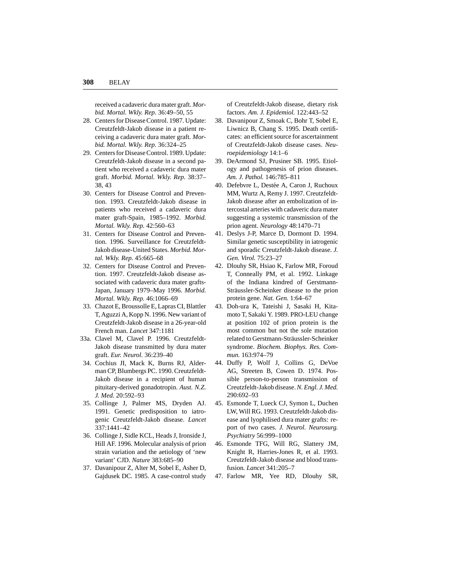received a cadaveric dura mater graft. *Morbid. Mortal. Wkly. Rep.* 36:49–50, 55

- 28. Centers for Disease Control. 1987. Update: Creutzfeldt-Jakob disease in a patient receiving a cadaveric dura mater graft. *Morbid. Mortal. Wkly. Rep.* 36:324–25
- 29. Centers for Disease Control. 1989. Update: Creutzfeldt-Jakob disease in a second patient who received a cadaveric dura mater graft. *Morbid. Mortal. Wkly. Rep.* 38:37– 38, 43
- 30. Centers for Disease Control and Prevention. 1993. Creutzfeldt-Jakob disease in patients who received a cadaveric dura mater graft-Spain, 1985–1992. *Morbid. Mortal. Wkly. Rep.* 42:560–63
- 31. Centers for Disease Control and Prevention. 1996. Surveillance for Creutzfeldt-Jakob disease-United States. *Morbid. Mortal. Wkly. Rep.* 45:665–68
- 32. Centers for Disease Control and Prevention. 1997. Creutzfeldt-Jakob disease associated with cadaveric dura mater grafts-Japan, January 1979–May 1996. *Morbid. Mortal. Wkly. Rep.* 46:1066–69
- 33. Chazot E, Broussolle E, Lapras CI, Blattler T, Aguzzi A, Kopp N. 1996. New variant of Creutzfeldt-Jakob disease in a 26-year-old French man. *Lancet* 347:1181
- 33a. Clavel M. Clavel P. 1996. Creutzfeldt-Jakob disease transmitted by dura mater graft. *Eur. Neurol.* 36:239–40
- 34. Cochius JI, Mack K, Burns RJ, Alderman CP, Blumbergs PC. 1990. Creutzfeldt-Jakob disease in a recipient of human pituitary-derived gonadotropin. *Aust. N.Z. J. Med.* 20:592–93
- 35. Collinge J, Palmer MS, Dryden AJ. 1991. Genetic predisposition to iatrogenic Creutzfeldt-Jakob disease. *Lancet*  337:1441–42
- 36. Collinge J, Sidle KCL, Heads J, Ironside J, Hill AF. 1996. Molecular analysis of prion strain variation and the aetiology of 'new variant' CJD. *Nature* 383:685–90
- 37. Davanipour Z, Alter M, Sobel E, Asher D, Gajdusek DC. 1985. A case-control study

of Creutzfeldt-Jakob disease, dietary risk factors. *Am. J. Epidemiol.* 122:443–52

- 38. Davanipour Z, Smoak C, Bohr T, Sobel E, Liwnicz B, Chang S. 1995. Death certificates: an efficient source for ascertainment of Creutzfeldt-Jakob disease cases. *Neuroepidemiology* 14:1–6
- 39. DeArmond SJ, Prusiner SB. 1995. Etiology and pathogenesis of prion diseases. *Am. J. Pathol.* 146:785–811
- 40. Defebvre L, Destée A, Caron J, Ruchoux MM, Wurtz A, Remy J. 1997. Creutzfeldt-Jakob disease after an embolization of intercostal arteries with cadaveric dura mater suggesting a systemic transmission of the prion agent. *Neurology* 48:1470–71
- 41. Deslys J-P, Marce D, Dormont D. 1994. Similar genetic susceptibility in iatrogenic and sporadic Creutzfeldt-Jakob disease. *J. Gen. Virol.* 75:23–27
- 42. Dlouhy SR, Hsiao K, Farlow MR, Foroud T, Conneally PM, et al. 1992. Linkage of the Indiana kindred of Gerstmann-Sträussler-Scheinker disease to the prion protein gene. *Nat. Gen.* 1:64–67
- Movidskas in a patien 1.<br>
Welv, Rep. 36:324-25<br>
Were dura mater graft. Mor-<br>
were dura mater graft. Mor-<br>
eates: an efficient source that mater graft. Mor-<br>
eates: an efficient source is control. 1989. Update:<br>
were dura 43. Doh-ura K, Tateishi J, Sasaki H, Kitamoto T, Sakaki Y. 1989. PRO-LEU change at position 102 of prion protein is the most common but not the sole mutation related to Gerstmann-Sträussler-Scheinker syndrome. *Biochem. Biophys. Res. Commun.* 163:974–79
	- 44. Duffy P, Wolf J, Collins G, DeVoe AG, Streeten B, Cowen D. 1974. Possible person-to-person transmission of Creutzfeldt-Jakob disease. *N. Engl. J. Med.*  290:692–93
	- 45. Esmonde T, Lueck CJ, Symon L, Duchen LW, Will RG. 1993. Creutzfeldt-Jakob disease and lyophilised dura mater grafts: report of two cases. *J. Neurol. Neurosurg. Psychiatry* 56:999–1000
	- 46. Esmonde TFG, Will RG, Slattery JM, Knight R, Harries-Jones R, et al. 1993. Creutzfeldt-Jakob disease and blood transfusion. *Lancet* 341:205–7
	- 47. Farlow MR, Yee RD, Dlouhy SR,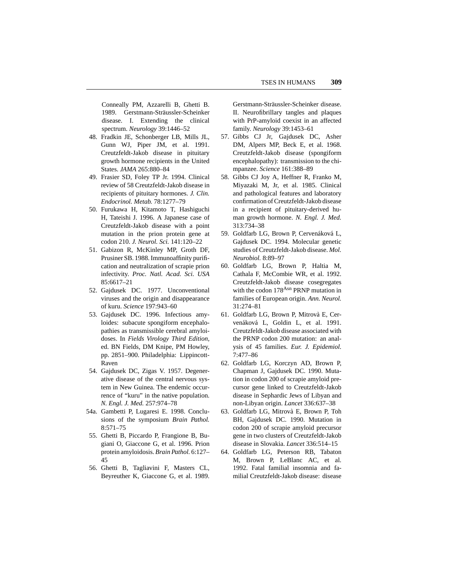Conneally PM, Azzarelli B, Ghetti B. 1989. Gerstmann-Sträussler-Scheinker disease. I. Extending the clinical spectrum. *Neurology* 39:1446–52

- 48. Fradkin JE, Schonberger LB, Mills JL, Gunn WJ, Piper JM, et al. 1991. Creutzfeldt-Jakob disease in pituitary growth hormone recipients in the United States. *JAMA* 265:880–84
- 49. Frasier SD, Foley TP Jr. 1994. Clinical review of 58 Creutzfeldt-Jakob disease in recipients of pituitary hormones. *J. Clin. Endocrinol. Metab.* 78:1277–79
- 50. Furukawa H, Kitamoto T, Hashiguchi H, Tateishi J. 1996. A Japanese case of Creutzfeldt-Jakob disease with a point mutation in the prion protein gene at codon 210. *J. Neurol. Sci.* 141:120–22
- 51. Gabizon R, McKinley MP, Groth DF, Prusiner SB. 1988. Immunoaffinity purification and neutralization of scrapie prion infectivity. *Proc. Natl. Acad. Sci. USA*  85:6617–21
- 52. Gajdusek DC. 1977. Unconventional viruses and the origin and disappearance of kuru. *Science* 197:943–60
- Frainty and the ail 1991.<br>
F. Schonberger LB, Mills JL, 57. Gibbs CJ Jr, Galid<br>
Pier JM, et al. 1991. DM, Alpers MP, Bee<br>
-Jakob disease in pituitary<br>
Terutzfeld-Jakob disease in pituitary<br>
Terutzfeld-Jakob disease in thi 53. Gajdusek DC. 1996. Infectious amyloides: subacute spongiform encephalopathies as transmissible cerebral amyloidoses. In *Fields Virology Third Edition,*  ed. BN Fields, DM Knipe, PM Howley, pp. 2851–900. Philadelphia: Lippincott-Raven
- 54. Gajdusek DC, Zigas V. 1957. Degenerative disease of the central nervous system in New Guinea. The endemic occurrence of "kuru" in the native population. *N. Engl. J. Med.* 257:974–78
- 54a. Gambetti P, Lugaresi E. 1998. Conclusions of the symposium *Brain Pathol.*  8:571–75
- 55. Ghetti B, Piccardo P, Frangione B, Bugiani O, Giaccone G, et al. 1996. Prion protein amyloidosis. *Brain Pathol.* 6:127– 45
- 56. Ghetti B, Tagliavini F, Masters CL, Beyreuther K, Giaccone G, et al. 1989.

Gerstmann-Sträussler-Scheinker disease. II. Neurofibrillary tangles and plaques with PrP-amyloid coexist in an affected family. *Neurology* 39:1453–61

- 57. Gibbs CJ Jr, Gajdusek DC, Asher DM, Alpers MP, Beck E, et al. 1968. Creutzfeldt-Jakob disease (spongiform encephalopathy): transmission to the chimpanzee. *Science* 161:388–89
- 58. Gibbs CJ Joy A, Heffner R, Franko M, Miyazaki M, Jr, et al. 1985. Clinical and pathological features and laboratory confirmation of Creutzfeldt-Jakob disease in a recipient of pituitary-derived human growth hormone. *N. Engl. J. Med.*  313:734–38
- 59. Goldfarb LG, Brown P, Cervenáková L, Gajdusek DC. 1994. Molecular genetic studies of Creutzfeldt-Jakob disease. *Mol. Neurobiol.* 8:89–97
- 60. Goldfarb LG, Brown P, Haltia M, Cathala F, McCombie WR, et al. 1992. Creutzfeldt-Jakob disease cosegregates with the codon 178<sup>Asn</sup> PRNP mutation in families of European origin. *Ann. Neurol.*  31:274–81
- 61. Goldfarb LG, Brown P, Mitrovà E, Cervenáková L, Goldin L, et al. 1991. Creutzfeldt-Jakob disease associated with the PRNP codon 200 mutation: an analysis of 45 families. *Eur. J. Epidemiol.*  7:477–86
- 62. Goldfarb LG, Korczyn AD, Brown P, Chapman J, Gajdusek DC. 1990. Mutation in codon 200 of scrapie amyloid precursor gene linked to Creutzfeldt-Jakob disease in Sephardic Jews of Libyan and non-Libyan origin. *Lancet* 336:637–38
- 63. Goldfarb LG, Mitrov`a E, Brown P, Toh BH, Gajdusek DC. 1990. Mutation in codon 200 of scrapie amyloid precursor gene in two clusters of Creutzfeldt-Jakob disease in Slovakia. *Lancet* 336:514–15
- 64. Goldfarb LG, Peterson RB, Tabaton M, Brown P, LeBlanc AC, et al. 1992. Fatal familial insomnia and familial Creutzfeldt-Jakob disease: disease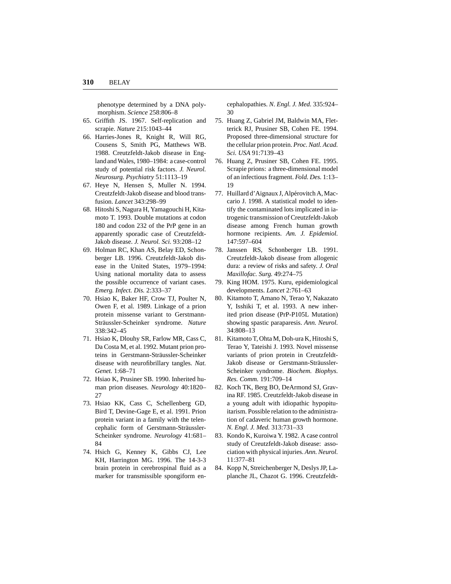phenotype determined by a DNA polymorphism. *Science* 258:806–8

- 65. Griffith JS. 1967. Self-replication and scrapie. *Nature* 215:1043–44
- 66. Harries-Jones R, Knight R, Will RG, Cousens S, Smith PG, Matthews WB. 1988. Creutzfeldt-Jakob disease in England and Wales, 1980–1984: a case-control study of potential risk factors. *J. Neurol. Neurosurg. Psychiatry* 51:1113–19
- 67. Heye N, Hensen S, Muller N. 1994. Creutzfeldt-Jakob disease and blood transfusion. *Lancet* 343:298–99
- 68. Hitoshi S, Nagura H, Yamagouchi H, Kitamoto T. 1993. Double mutations at codon 180 and codon 232 of the PrP gene in an apparently sporadic case of Creutzfeldt-Jakob disease. *J. Neurol. Sci.* 93:208–12
- 69. Holman RC, Khan AS, Belay ED, Schonberger LB. 1996. Creutzfeldt-Jakob disease in the United States, 1979–1994: Using national mortality data to assess the possible occurrence of variant cases. *Emerg. Infect. Dis.* 2:333–37
- 70. Hsiao K, Baker HF, Crow TJ, Poulter N, Owen F, et al. 1989. Linkage of a prion protein missense variant to Gerstmann-Sträussler-Scheinker syndrome. Nature 338:342–45
- 71. Hsiao K, Dlouhy SR, Farlow MR, Cass C, Da Costa M, et al. 1992. Mutant prion proteins in Gerstmann-Sträussler-Scheinker disease with neurofibrillary tangles. *Nat. Genet.* 1:68–71
- 72. Hsiao K, Prusiner SB. 1990. Inherited human prion diseases. *Neurology* 40:1820–  $27$
- 73. Hsiao KK, Cass C, Schellenberg GD, Bird T, Devine-Gage E, et al. 1991. Prion protein variant in a family with the telencephalic form of Gerstmann-Sträussler-Scheinker syndrome. *Neurology* 41:681– 84
- 74. Hsich G, Kenney K, Gibbs CJ, Lee KH, Harrington MG. 1996. The 14-3-3 brain protein in cerebrospinal fluid as a marker for transmissible spongiform en-

cephalopathies. *N. Engl. J. Med.* 335:924– 30

- 75. Huang Z, Gabriel JM, Baldwin MA, Fletterick RJ, Prusiner SB, Cohen FE. 1994. Proposed three-dimensional structure for the cellular prion protein. *Proc. Natl. Acad. Sci. USA* 91:7139–43
- 76. Huang Z, Prusiner SB, Cohen FE. 1995. Scrapie prions: a three-dimensional model of an infectious fragment. *Fold. Des.* 1:13– 19
- EVENTIVE TO ENTERT PRODUCT TO ENSURE SERVING TO THE CHAIN REAL STRIPHT R, Will RG, Proposed three-dimension<br>
Field-Lakob disease in Eng-<br>
Field-Lakob disease in Eng-<br>
Field-Lakob disease in Eng-<br>
Field-Lakob disease in En 77. Huillard d'Aignaux J, Alpérovitch A, Maccario J. 1998. A statistical model to identify the contaminated lots implicated in iatrogenic transmission of Creutzfeldt-Jakob disease among French human growth hormone recipients. *Am. J. Epidemiol.*  147:597–604
	- 78. Janssen RS, Schonberger LB. 1991. Creutzfeldt-Jakob disease from allogenic dura: a review of risks and safety. *J. Oral Maxillofac. Surg.* 49:274–75
	- 79. King HOM. 1975. Kuru, epidemiological developments. *Lancet* 2:761–63
	- 80. Kitamoto T, Amano N, Terao Y, Nakazato Y, Isshiki T, et al. 1993. A new inherited prion disease (PrP-P105L Mutation) showing spastic paraparesis. *Ann. Neurol.*  34:808–13
	- 81. Kitamoto T, Ohta M, Doh-ura K, Hitoshi S, Terao Y, Tateishi J. 1993. Novel missense variants of prion protein in Creutzfeldt-Jakob disease or Gerstmann-Sträussler-Scheinker syndrome. *Biochem. Biophys. Res. Comm.* 191:709–14
	- 82. Koch TK, Berg BO, DeArmond SJ, Gravina RF. 1985. Creutzfeldt-Jakob disease in a young adult with idiopathic hypopituitarism. Possible relation to the administration of cadaveric human growth hormone. *N. Engl. J. Med.* 313:731–33
	- 83. Kondo K, Kuroiwa Y. 1982. A case control study of Creutzfeldt-Jakob disease: association with physical injuries. *Ann. Neurol.*  11:377–81
	- 84. Kopp N, Streichenberger N, Deslys JP, Laplanche JL, Chazot G. 1996. Creutzfeldt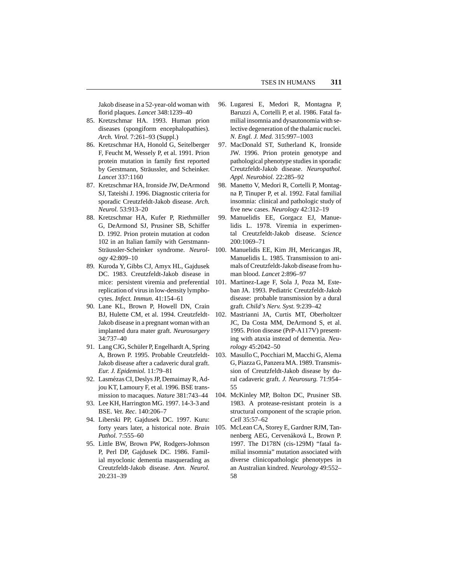Jakob disease in a 52-year-old woman with florid plaques. *Lancet* 348:1239–40

- 85. Kretzschmar HA. 1993. Human prion diseases (spongiform encephalopathies). *Arch. Virol.* 7:261–93 (Suppl.)
- 86. Kretzschmar HA, Honold G, Seitelberger F, Feucht M, Wessely P, et al. 1991. Prion protein mutation in family first reported by Gerstmann, Sträussler, and Scheinker. *Lancet* 337:1160
- 87. Kretzschmar HA, Ironside JW, DeArmond SJ, Tateishi J. 1996. Diagnostic criteria for sporadic Creutzfeldt-Jakob disease. *Arch. Neurol.* 53:913–20
- 88. Kretzschmar HA, Kufer P, Riethmüller G, DeArmond SJ, Prusiner SB, Schiffer D. 1992. Prion protein mutation at codon 102 in an Italian family with Gerstmann-Sträussler-Scheinker syndrome. Neurol*ogy* 42:809–10
- 89. Kuroda Y, Gibbs CJ, Amyx HL, Gajdusek DC. 1983. Creutzfeldt-Jakob disease in mice: persistent viremia and preferential replication of virus in low-density lymphocytes. *Infect. Immun.* 41:154–61
- 90. Lane KL, Brown P, Howell DN, Crain BJ, Hulette CM, et al. 1994. Creutzfeldt-Jakob disease in a pregnant woman with an implanted dura mater graft. *Neurosurgery*  34:737–40
- 91. Lang CJG, Schüler P, Engelhardt A, Spring A, Brown P. 1995. Probable Creutzfeldt-Jakob disease after a cadaveric dural graft. *Eur. J. Epidemiol.* 11:79–81
- 92. Lasmézas CI, Deslys JP, Demaimay R, Adjou KT, Lamoury F, et al. 1996. BSE transmission to macaques. *Nature* 381:743–44
- 93. Lee KH, Harrington MG. 1997. 14-3-3 and BSE. *Vet. Rec.* 140:206–7
- 94. Liberski PP, Gajdusek DC. 1997. Kuru: forty years later, a historical note. *Brain Pathol.* 7:555–60
- 95. Little BW, Brown PW, Rodgers-Johnson P, Perl DP, Gajdusek DC. 1986. Familial myoclonic dementia masquerading as Creutzfeldt-Jakob disease. *Ann. Neurol.*  20:231–39
- 96. Lugaresi E, Medori R, Montagna P, Baruzzi A, Cortelli P, et al. 1986. Fatal familial insomnia and dysautonomia with selective degeneration of the thalamic nuclei. *N. Engl. J. Med.* 315:997–1003
- 97. MacDonald ST, Sutherland K, Ironside JW. 1996. Prion protein genotype and pathological phenotype studies in sporadic Creutzfeldt-Jakob disease. *Neuropathol. Appl. Neurobiol.* 22:285–92
- 98. Manetto V, Medori R, Cortelli P, Montagna P, Tinuper P, et al. 1992. Fatal familial insomnia: clinical and pathologic study of five new cases. *Neurology* 42:312–19
- 99. Manuelidis EE, Gorgacz EJ, Manuelidis L. 1978. Viremia in experimental Creutzfeldt-Jakob disease. *Science*  200:1069–71
- 100. Manuelidis EE, Kim JH, Mericangas JR, Manuelidis L. 1985. Transmission to animals of Creutzfeldt-Jakob disease from human blood. *Lancet* 2:896–97
- 101. Martinez-Lage F, Sola J, Poza M, Esteban JA. 1993. Pediatric Creutzfeldt-Jakob disease: probable transmission by a dural graft. *Child's Nerv. Syst.* 9:239–42
- 102. Mastrianni JA, Curtis MT, Oberholtzer JC, Da Costa MM, DeArmond S, et al. 1995. Prion disease (PrP-A117V) presenting with ataxia instead of dementia. *Neurology* 45:2042–50
- 103. Masullo C, Pocchiari M, Macchi G, Alema G, Piazza G, Panzera MA. 1989. Transmission of Creutzfeldt-Jakob disease by dural cadaveric graft. *J. Neurosurg.* 71:954– 55
- 104. McKinley MP, Bolton DC, Prusiner SB. 1983. A protease-resistant protein is a structural component of the scrapie prion. *Cell* 35:57–62
- Early Manufally 1.1 1978. Neuro Lacky (Septemation of the HA, Honold G, Steigh J. Mead, 315.99<br>
7.261–93 (Suppl.) N. Exgl. J. Mead, 315.99<br>
7.261–93 (Suppl.) N. Exgl. J. Mead, 315.99<br>
7. Mead, 315.99<br>
7. Wester P, Neutzfe 105. McLean CA, Storey E, Gardner RJM, Tannenberg AEG, Cervenáková L, Brown P. 1997. The D178N (cis-129M) "fatal familial insomnia" mutation associated with diverse clinicopathologic phenotypes in an Australian kindred. *Neurology* 49:552– 58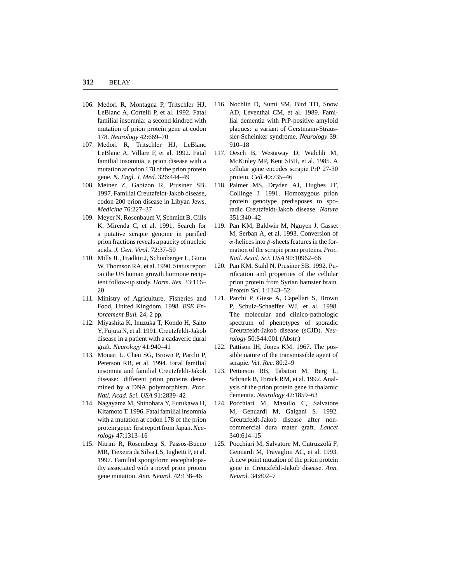- 106. Medori R, Montagna P, Tritschler HJ, LeBlanc A, Cortelli P, et al. 1992. Fatal familial insomnia: a second kindred with mutation of prion protein gene at codon 178. *Neurology* 42:669–70
- 107. Medori R, Tritschler HJ, LeBlanc LeBlanc A, Villare F, et al. 1992. Fatal familial insomnia, a prion disease with a mutation at codon 178 of the prion protein gene. *N. Engl. J. Med.* 326:444–49
- 108. Meiner Z, Gabizon R, Prusiner SB. 1997. Familial Creutzfeldt-Jakob disease, codon 200 prion disease in Libyan Jews. *Medicine* 76:227–37
- 109. Meyer N, Rosenbaum V, Schmidt B, Gills K, Mirenda C, et al. 1991. Search for a putative scrapie genome in purified prion fractions reveals a paucity of nucleic acids. *J. Gen. Virol.* 72:37–50
- 110. Mills JL, Fradkin J, Schonberger L, Gunn W, Thomson RA, et al. 1990. Status report on the US human growth hormone recipient follow-up study. *Horm. Res.* 33:116– 20
- 111. Ministry of Agriculture, Fisheries and Food, United Kingdom. 1998. *BSE Enforcement Bull.* 24, 2 pp.
- 112. Miyashita K, Inuzuka T, Kondo H, Saito Y, Fujuta N, et al. 1991. Creutzfeldt-Jakob disease in a patient with a cadaveric dural graft. *Neurology* 41:940–41
- 113. Monari L, Chen SG, Brown P, Parchi P, Peterson RB, et al. 1994. Fatal familial insomnia and familial Creutzfeldt-Jakob disease: different prion proteins determined by a DNA polymorphism. *Proc. Natl. Acad. Sci. USA* 91:2839–42
- 114. Nagayama M, Shinohara Y, Furukawa H, Kitamoto T. 1996. Fatal familial insomnia with a mutation at codon 178 of the prion protein gene: first report from Japan. *Neurology* 47:1313–16
- 115. Nitrini R, Rosemberg S, Passos-Bueno MR, Tiexeira da Silva LS, Iughetti P, et al. 1997. Familial spongiform encephalopathy associated with a novel prion protein gene mutation. *Ann. Neurol.* 42:138–46
- 116. Nochlin D, Sumi SM, Bird TD, Snow AD, Leventhal CM, et al. 1989. Familial dementia with PrP-positive amyloid plaques: a variant of Gerstmann-Sträussler-Scheinker syndrome. *Neurology* 39: 910–18
- 117. Oesch B, Westaway D, Wälchli M, McKinley MP, Kent SBH, et al. 1985. A cellular gene encodes scrapie PrP 27-30 protein. *Cell* 40:735–46
- 118. Palmer MS, Dryden AJ, Hughes JT, Collinge J. 1991. Homozygous prion protein genotype predisposes to sporadic Creutzfeldt-Jakob disease. *Nature*  351:340–42
- 119. Pan KM, Baldwin M, Nguyen J, Gasset M, Serban A, et al. 1993. Conversion of α-helices into β-sheets features in the formation of the scrapie prion proteins. *Proc. Natl. Acad. Sci. USA* 90:10962–66
- 120. Pan KM, Stahl N, Prusiner SB. 1992. Purification and properties of the cellular prion protein from Syrian hamster brain. *Protein Sci.* 1:1343–52
- province and or other HI, Lellian spaces. a variant of volume province sure. See a see Scheinker syndrom<br>
Tritschler HI, Lellian 910-18<br>
Williare F, et al. 1992. Fratal 117. Oesch B, Westaway<br>
mmia, a prion disease with a 121. Parchi P, Giese A, Capellari S, Brown P, Schulz-Schaeffer WJ, et al. 1998. The molecular and clinico-pathologic spectrum of phenotypes of sporadic Creutzfeldt-Jakob disease (sCJD). *Neurology* 50:S44.001 (Abstr.)
	- 122. Pattison IH, Jones KM. 1967. The possible nature of the transmissible agent of scrapie. *Vet. Rec.* 80:2–9
	- 123. Petterson RB, Tabaton M, Berg L, Schrank B, Torack RM, et al. 1992. Analysis of the prion protein gene in thalamic dementia. *Neurology* 42:1859–63
	- 124. Pocchiari M, Masullo C, Salvatore M, Genuardi M, Galgani S. 1992. Creutzfeldt-Jakob disease after noncommercial dura mater graft. *Lancet*  340:614–15
	- 125. Pocchiari M, Salvatore M, Cutruzzolá F, Genuardi M, Travaglini AC, et al. 1993. A new point mutation of the prion protein gene in Creutzfeldt-Jakob disease. *Ann. Neurol.* 34:802–7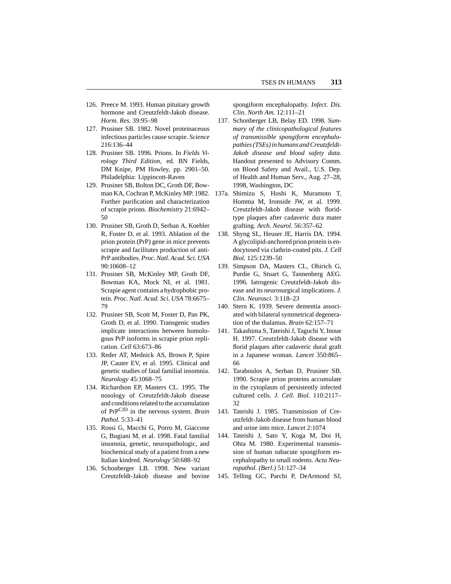- 126. Preece M. 1993. Human pituitary growth hormone and Creutzfeldt-Jakob disease. *Horm. Res.* 39:95–98
- 127. Prusiner SB. 1982. Novel proteinaceous infectious particles cause scrapie. *Science*  216:136–44
- 128. Prusiner SB. 1996. Prions. In *Fields Virology Third Edition,* ed. BN Fields, DM Knipe, PM Howley, pp. 2901–50. Philadelphia: Lippincott-Raven
- 129. Prusiner SB, Bolton DC, Groth DF, Bowman KA, Cochran P, McKinley MP. 1982. Further purification and characterization of scrapie prions. *Biochemistry* 21:6942– 50
- 130. Prusiner SB, Groth D, Serban A, Koehler R, Foster D, et al. 1993. Ablation of the prion protein (PrP) gene in mice prevents scrapie and facilitates production of anti-PrP antibodies. *Proc. Natl. Acad. Sci. USA*  90:10608–12
- 131. Prusiner SB, McKinley MP, Groth DF, Bowman KA, Mock NI, et al. 1981. Scrapie agent contains a hydrophobic protein. *Proc. Natl. Acad. Sci. USA* 78:6675– 79
- 132. Prusiner SB, Scott M, Foster D, Pan PK, Groth D, et al. 1990. Transgenic studies implicate interactions between homologous PrP isoforms in scrapie prion replication. *Cell* 63:673–86
- 133. Reder AT, Mednick AS, Brown P, Spire JP, Cauter EV, et al. 1995. Clinical and genetic studies of fatal familial insomnia. *Neurology* 45:1068–75
- 134. Richardson EP, Masters CL. 1995. The nosology of Creutzfeldt-Jakob disease and conditions related to the accumulation of PrPCJD in the nervous system. *Brain Pathol.* 5:33–41
- 135. Rossi G, Macchi G, Porro M, Giaccone G, Bugiani M, et al. 1998. Fatal familial insomnia, genetic, neuropathologic, and biochemical study of a patient from a new Italian kindred. *Neurology* 50:688–92
- 136. Schonberger LB. 1998. New variant Creutzfeldt-Jakob disease and bovine

spongiform encephalopathy. *Infect. Dis. Clin. North Am.* 12:111–21

- 3. 1702. Note points can<br>articles canse scripte. Science of transmissible groms<br>articles canse scripte. Science of transmissible groms<br>anticles canse scripte. Science of transmissible groms<br> $nd$  Edition, ed. BN Fields, Han 137. Schonberger LB, Belay ED. 1998. *Summary of the clinicopathological features of transmissible spongiform encephalopathies (TSEs) in humans and Creutzfeldt-Jakob disease and blood safety data*. Handout presented to Advisory Comm. on Blood Safety and Avail., U.S. Dep. of Health and Human Serv., Aug. 27–28, 1998, Washington, DC
	- 137a. Shimizu S, Hoshi K, Muramoto T, Homma M, Ironside JW, et al. 1999. Creutzfeldt-Jakob disease with floridtype plaques after cadaveric dura mater grafting. *Arch. Neurol.* 56:357–62
		- 138. Shyng SL, Heuser JE, Harris DA. 1994. A glycolipid-anchored prion protein is endocytosed via clathrin-coated pits. *J. Cell Biol.* 125:1239–50
		- 139. Simpson DA, Masters CL, Ohirich G, Purdie G, Stuart G, Tannenberg AEG. 1996. Iatrogenic Creutzfeldt-Jakob disease and its neurosurgical implications. *J. Clin. Neurosci.* 3:118–23
		- 140. Stern K. 1939. Severe dementia associated with bilateral symmetrical degeneration of the thalamus. *Brain* 62:157–71
		- 141. Takashima S, Tateishi J, Taguchi Y, Inoue H. 1997. Creutzfeldt-Jakob disease with florid plaques after cadaveric dural graft in a Japanese woman. *Lancet* 350:865– 66
		- 142. Taraboulos A, Serban D, Prusiner SB. 1990. Scrapie prion proteins accumulate in the cytoplasm of persistently infected cultured cells. *J. Cell. Biol.* 110:2117– 32
		- 143. Tateishi J. 1985. Transmission of Creutzfeldt-Jakob disease from human blood and urine into mice. *Lancet* 2:1074
		- 144. Tateishi J, Sato Y, Koga M, Doi H, Ohta M. 1980. Experimental transmission of human subacute spongiform encephalopathy to small rodents. *Acta Neuropathol. (Berl.)* 51:127–34
		- 145. Telling GC, Parchi P, DeArmond SJ,